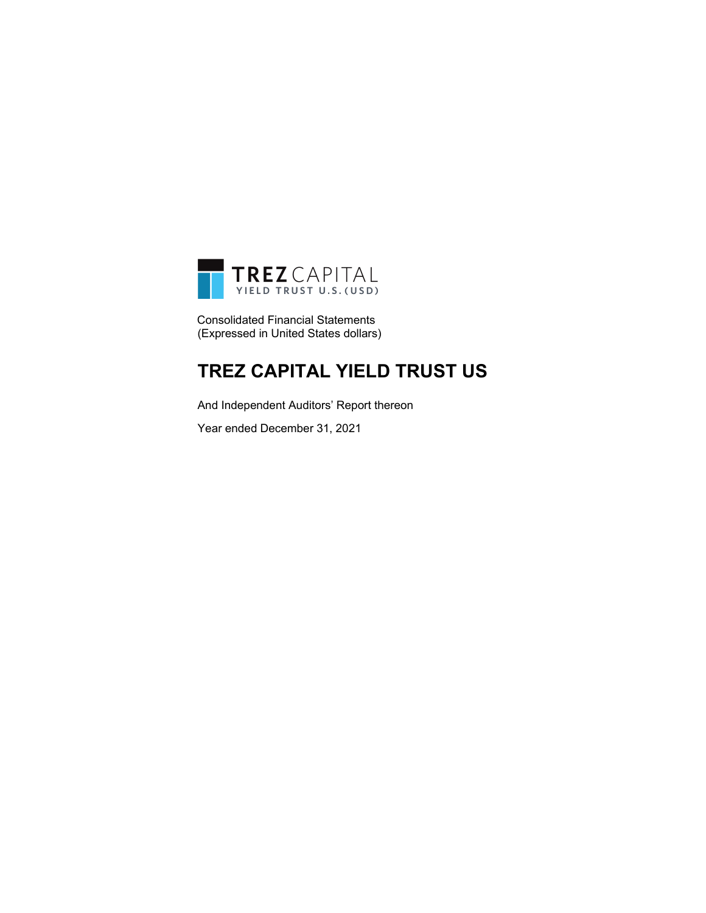

Consolidated Financial Statements (Expressed in United States dollars)

### **TREZ CAPITAL YIELD TRUST US**

And Independent Auditors' Report thereon

Year ended December 31, 2021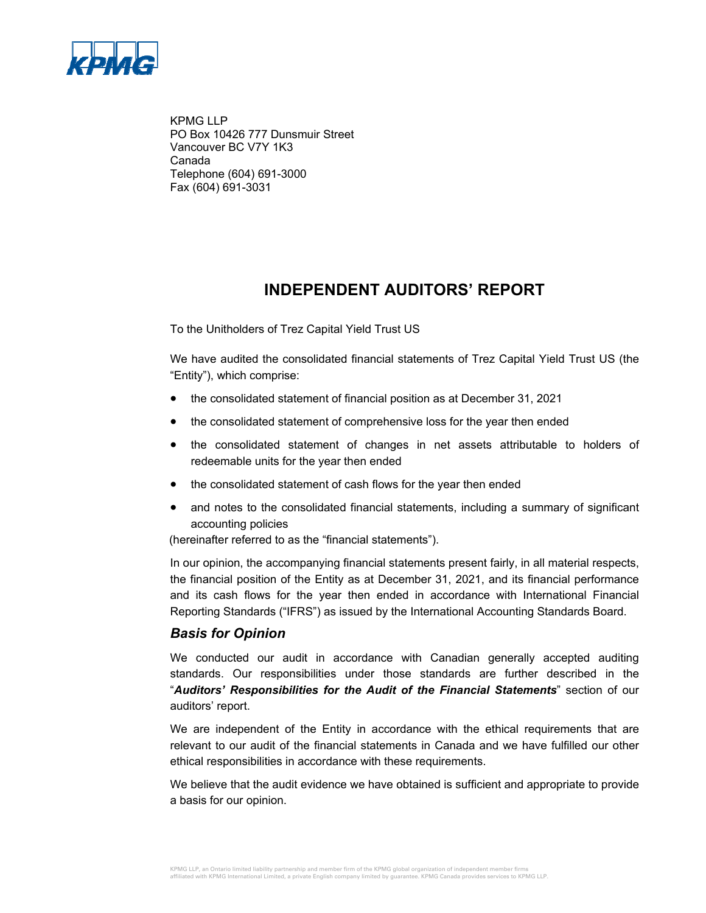

KPMG LLP PO Box 10426 777 Dunsmuir Street Vancouver BC V7Y 1K3 Canada Telephone (604) 691-3000 Fax (604) 691-3031

### **INDEPENDENT AUDITORS' REPORT**

To the Unitholders of Trez Capital Yield Trust US

We have audited the consolidated financial statements of Trez Capital Yield Trust US (the "Entity"), which comprise:

- the consolidated statement of financial position as at December 31, 2021
- the consolidated statement of comprehensive loss for the year then ended
- the consolidated statement of changes in net assets attributable to holders of redeemable units for the year then ended
- the consolidated statement of cash flows for the year then ended
- and notes to the consolidated financial statements, including a summary of significant accounting policies

(hereinafter referred to as the "financial statements").

In our opinion, the accompanying financial statements present fairly, in all material respects, the financial position of the Entity as at December 31, 2021, and its financial performance and its cash flows for the year then ended in accordance with International Financial Reporting Standards ("IFRS") as issued by the International Accounting Standards Board.

### *Basis for Opinion*

We conducted our audit in accordance with Canadian generally accepted auditing standards. Our responsibilities under those standards are further described in the "*Auditors' Responsibilities for the Audit of the Financial Statements*" section of our auditors' report.

We are independent of the Entity in accordance with the ethical requirements that are relevant to our audit of the financial statements in Canada and we have fulfilled our other ethical responsibilities in accordance with these requirements.

We believe that the audit evidence we have obtained is sufficient and appropriate to provide a basis for our opinion.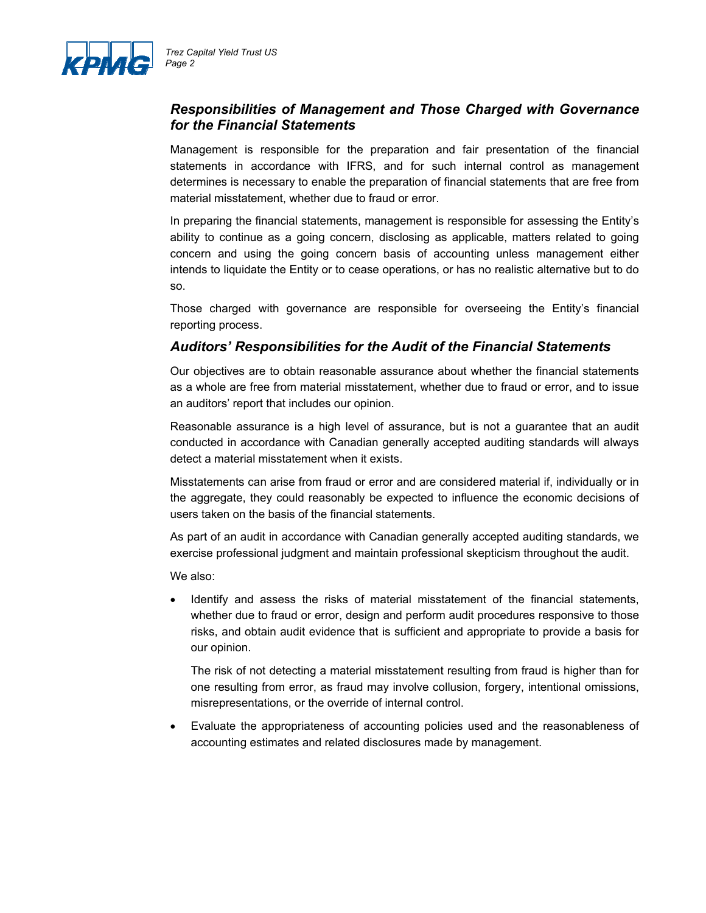

### *Responsibilities of Management and Those Charged with Governance for the Financial Statements*

Management is responsible for the preparation and fair presentation of the financial statements in accordance with IFRS, and for such internal control as management determines is necessary to enable the preparation of financial statements that are free from material misstatement, whether due to fraud or error.

In preparing the financial statements, management is responsible for assessing the Entity's ability to continue as a going concern, disclosing as applicable, matters related to going concern and using the going concern basis of accounting unless management either intends to liquidate the Entity or to cease operations, or has no realistic alternative but to do so.

Those charged with governance are responsible for overseeing the Entity's financial reporting process.

### *Auditors' Responsibilities for the Audit of the Financial Statements*

Our objectives are to obtain reasonable assurance about whether the financial statements as a whole are free from material misstatement, whether due to fraud or error, and to issue an auditors' report that includes our opinion.

Reasonable assurance is a high level of assurance, but is not a guarantee that an audit conducted in accordance with Canadian generally accepted auditing standards will always detect a material misstatement when it exists.

Misstatements can arise from fraud or error and are considered material if, individually or in the aggregate, they could reasonably be expected to influence the economic decisions of users taken on the basis of the financial statements.

As part of an audit in accordance with Canadian generally accepted auditing standards, we exercise professional judgment and maintain professional skepticism throughout the audit.

We also:

 Identify and assess the risks of material misstatement of the financial statements, whether due to fraud or error, design and perform audit procedures responsive to those risks, and obtain audit evidence that is sufficient and appropriate to provide a basis for our opinion.

The risk of not detecting a material misstatement resulting from fraud is higher than for one resulting from error, as fraud may involve collusion, forgery, intentional omissions, misrepresentations, or the override of internal control.

 Evaluate the appropriateness of accounting policies used and the reasonableness of accounting estimates and related disclosures made by management.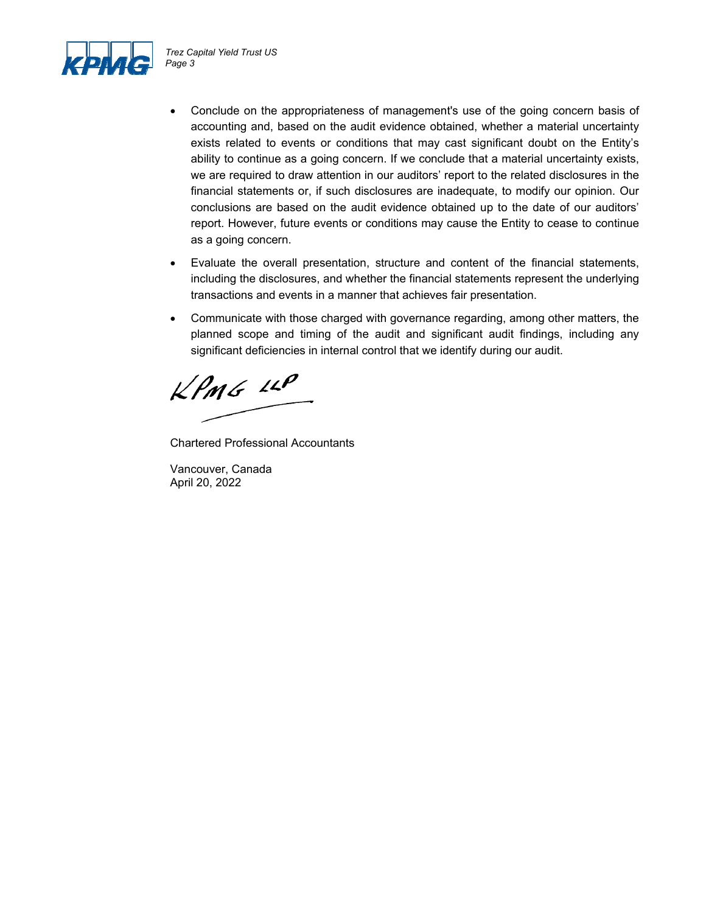

- Conclude on the appropriateness of management's use of the going concern basis of accounting and, based on the audit evidence obtained, whether a material uncertainty exists related to events or conditions that may cast significant doubt on the Entity's ability to continue as a going concern. If we conclude that a material uncertainty exists, we are required to draw attention in our auditors' report to the related disclosures in the financial statements or, if such disclosures are inadequate, to modify our opinion. Our conclusions are based on the audit evidence obtained up to the date of our auditors' report. However, future events or conditions may cause the Entity to cease to continue as a going concern.
- Evaluate the overall presentation, structure and content of the financial statements, including the disclosures, and whether the financial statements represent the underlying transactions and events in a manner that achieves fair presentation.
- Communicate with those charged with governance regarding, among other matters, the planned scope and timing of the audit and significant audit findings, including any significant deficiencies in internal control that we identify during our audit.

 $kPMS$  11P

Chartered Professional Accountants

Vancouver, Canada April 20, 2022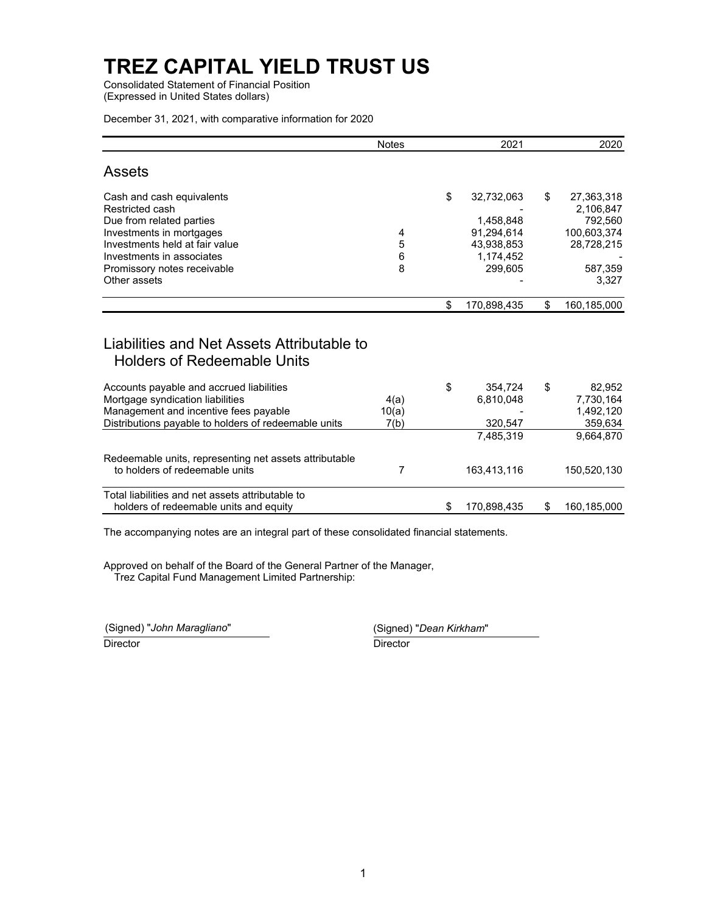Consolidated Statement of Financial Position (Expressed in United States dollars)

December 31, 2021, with comparative information for 2020

|                                                                                                                                                                                                                    | <b>Notes</b>          |    | 2021                                                                        | 2020                                                                                      |
|--------------------------------------------------------------------------------------------------------------------------------------------------------------------------------------------------------------------|-----------------------|----|-----------------------------------------------------------------------------|-------------------------------------------------------------------------------------------|
| <b>Assets</b>                                                                                                                                                                                                      |                       |    |                                                                             |                                                                                           |
| Cash and cash equivalents<br>Restricted cash<br>Due from related parties<br>Investments in mortgages<br>Investments held at fair value<br>Investments in associates<br>Promissory notes receivable<br>Other assets | 4<br>5<br>6<br>8      | \$ | 32,732,063<br>1,458,848<br>91.294.614<br>43,938,853<br>1.174.452<br>299,605 | \$<br>27,363,318<br>2,106,847<br>792,560<br>100,603,374<br>28,728,215<br>587,359<br>3,327 |
|                                                                                                                                                                                                                    |                       | \$ | 170,898,435                                                                 | \$<br>160,185,000                                                                         |
| Liabilities and Net Assets Attributable to<br><b>Holders of Redeemable Units</b>                                                                                                                                   |                       |    |                                                                             |                                                                                           |
| Accounts payable and accrued liabilities<br>Mortgage syndication liabilities<br>Management and incentive fees payable<br>Distributions payable to holders of redeemable units                                      | 4(a)<br>10(a)<br>7(b) | \$ | 354.724<br>6,810,048<br>320,547<br>7,485,319                                | \$<br>82.952<br>7,730,164<br>1,492,120<br>359,634<br>9.664.870                            |
| Redeemable units, representing net assets attributable<br>to holders of redeemable units                                                                                                                           | 7                     |    | 163,413,116                                                                 | 150,520,130                                                                               |
| Total liabilities and net assets attributable to<br>holders of redeemable units and equity                                                                                                                         |                       | S  | 170,898,435                                                                 | \$<br>160,185,000                                                                         |

The accompanying notes are an integral part of these consolidated financial statements.

Approved on behalf of the Board of the General Partner of the Manager, Trez Capital Fund Management Limited Partnership:

(Signed) "*John Maragliano*" (Signed) "*Dean Kirkham*"

Director **Director** Director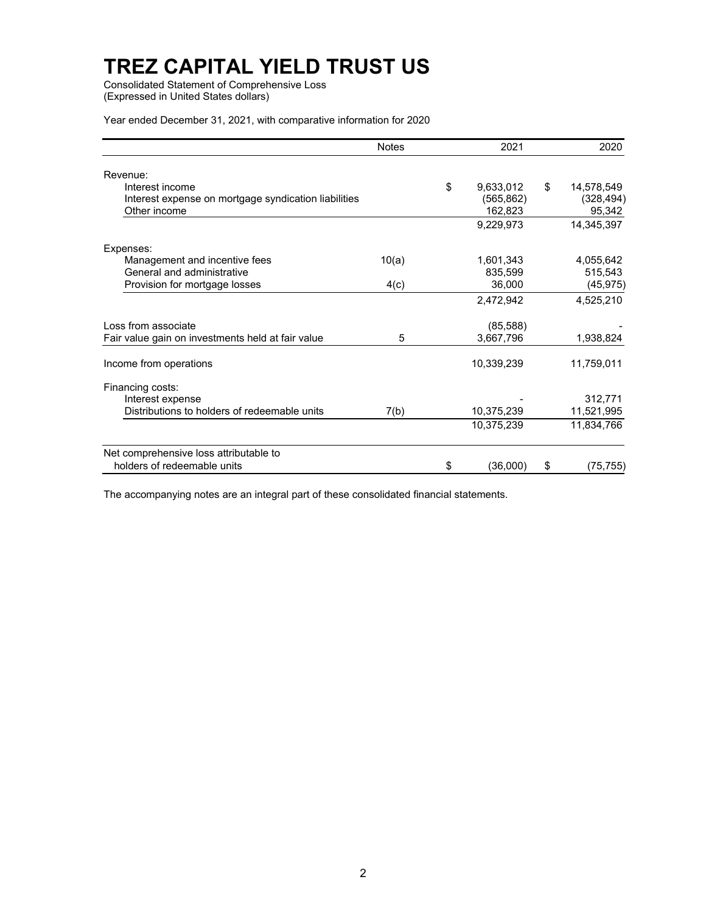Consolidated Statement of Comprehensive Loss (Expressed in United States dollars)

Year ended December 31, 2021, with comparative information for 2020

|                                                      | <b>Notes</b> | 2021            | 2020             |
|------------------------------------------------------|--------------|-----------------|------------------|
| Revenue:                                             |              |                 |                  |
| Interest income                                      |              | \$<br>9,633,012 | \$<br>14,578,549 |
| Interest expense on mortgage syndication liabilities |              | (565, 862)      | (328, 494)       |
| Other income                                         |              | 162,823         | 95,342           |
|                                                      |              | 9,229,973       | 14,345,397       |
| Expenses:                                            |              |                 |                  |
| Management and incentive fees                        | 10(a)        | 1,601,343       | 4,055,642        |
| General and administrative                           |              | 835,599         | 515,543          |
| Provision for mortgage losses                        | 4(c)         | 36,000          | (45, 975)        |
|                                                      |              | 2,472,942       | 4,525,210        |
| Loss from associate                                  |              | (85, 588)       |                  |
| Fair value gain on investments held at fair value    | 5            | 3,667,796       | 1,938,824        |
| Income from operations                               |              | 10,339,239      | 11,759,011       |
| Financing costs:                                     |              |                 |                  |
| Interest expense                                     |              |                 | 312,771          |
| Distributions to holders of redeemable units         | 7(b)         | 10,375,239      | 11,521,995       |
|                                                      |              | 10,375,239      | 11,834,766       |
| Net comprehensive loss attributable to               |              |                 |                  |
| holders of redeemable units                          |              | \$<br>(36,000)  | \$<br>(75, 755)  |

The accompanying notes are an integral part of these consolidated financial statements.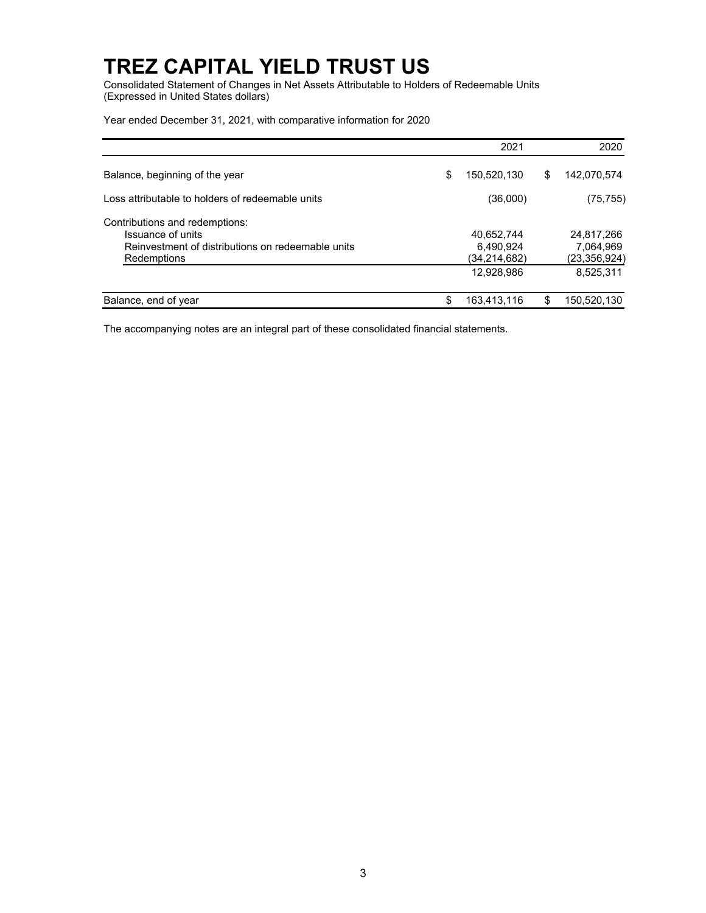Consolidated Statement of Changes in Net Assets Attributable to Holders of Redeemable Units (Expressed in United States dollars)

Year ended December 31, 2021, with comparative information for 2020

|                                                                                                                         |    | 2021                                                  |   | 2020                                                 |
|-------------------------------------------------------------------------------------------------------------------------|----|-------------------------------------------------------|---|------------------------------------------------------|
| Balance, beginning of the year                                                                                          | \$ | 150,520,130                                           | S | 142,070,574                                          |
| Loss attributable to holders of redeemable units                                                                        |    | (36,000)                                              |   | (75, 755)                                            |
| Contributions and redemptions:<br>Issuance of units<br>Reinvestment of distributions on redeemable units<br>Redemptions |    | 40,652,744<br>6,490,924<br>(34,214,682)<br>12,928,986 |   | 24.817.266<br>7,064,969<br>(23,356,924)<br>8,525,311 |
| Balance, end of year                                                                                                    | \$ | 163,413,116                                           |   | 150,520,130                                          |

The accompanying notes are an integral part of these consolidated financial statements.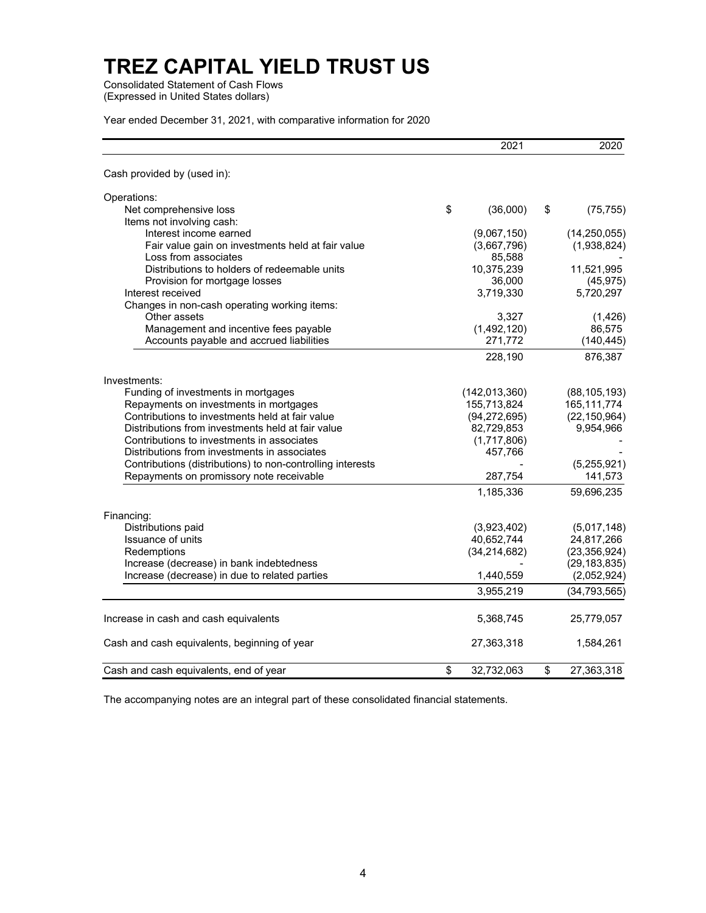Consolidated Statement of Cash Flows (Expressed in United States dollars)

Year ended December 31, 2021, with comparative information for 2020

|                                                            | 2021             | 2020             |
|------------------------------------------------------------|------------------|------------------|
| Cash provided by (used in):                                |                  |                  |
| Operations:                                                |                  |                  |
| Net comprehensive loss                                     | \$<br>(36,000)   | \$<br>(75, 755)  |
| Items not involving cash:                                  |                  |                  |
| Interest income earned                                     | (9,067,150)      | (14, 250, 055)   |
| Fair value gain on investments held at fair value          | (3,667,796)      | (1,938,824)      |
| Loss from associates                                       | 85,588           |                  |
| Distributions to holders of redeemable units               | 10,375,239       | 11,521,995       |
| Provision for mortgage losses                              | 36,000           | (45, 975)        |
| Interest received                                          | 3,719,330        | 5,720,297        |
| Changes in non-cash operating working items:               |                  |                  |
| Other assets                                               | 3,327            | (1, 426)         |
| Management and incentive fees payable                      | (1,492,120)      | 86,575           |
| Accounts payable and accrued liabilities                   | 271,772          | (140, 445)       |
|                                                            | 228,190          | 876,387          |
| Investments:                                               |                  |                  |
| Funding of investments in mortgages                        | (142, 013, 360)  | (88, 105, 193)   |
| Repayments on investments in mortgages                     | 155,713,824      | 165, 111, 774    |
| Contributions to investments held at fair value            | (94, 272, 695)   | (22, 150, 964)   |
| Distributions from investments held at fair value          | 82,729,853       | 9,954,966        |
| Contributions to investments in associates                 | (1,717,806)      |                  |
| Distributions from investments in associates               | 457,766          |                  |
| Contributions (distributions) to non-controlling interests |                  | (5,255,921)      |
| Repayments on promissory note receivable                   | 287,754          | 141,573          |
|                                                            | 1,185,336        | 59,696,235       |
| Financing:                                                 |                  |                  |
| Distributions paid                                         | (3,923,402)      | (5,017,148)      |
| Issuance of units                                          | 40,652,744       | 24,817,266       |
| Redemptions                                                | (34, 214, 682)   | (23, 356, 924)   |
| Increase (decrease) in bank indebtedness                   |                  | (29, 183, 835)   |
| Increase (decrease) in due to related parties              | 1,440,559        | (2,052,924)      |
|                                                            | 3,955,219        | (34, 793, 565)   |
| Increase in cash and cash equivalents                      | 5,368,745        | 25,779,057       |
| Cash and cash equivalents, beginning of year               | 27,363,318       | 1,584,261        |
| Cash and cash equivalents, end of year                     | \$<br>32,732,063 | \$<br>27,363,318 |

The accompanying notes are an integral part of these consolidated financial statements.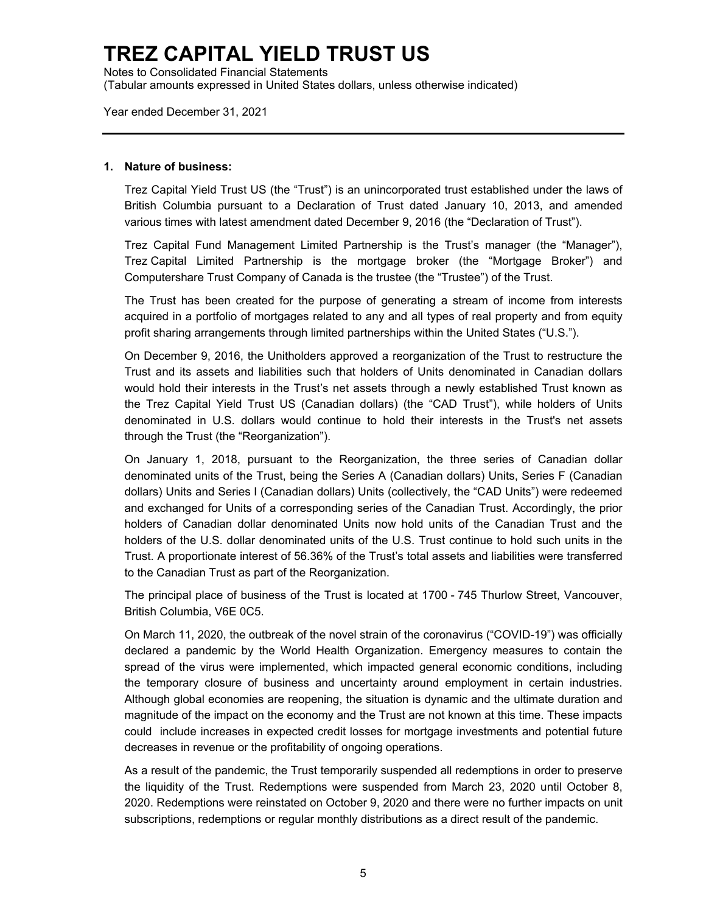Notes to Consolidated Financial Statements (Tabular amounts expressed in United States dollars, unless otherwise indicated)

Year ended December 31, 2021

#### **1. Nature of business:**

Trez Capital Yield Trust US (the "Trust") is an unincorporated trust established under the laws of British Columbia pursuant to a Declaration of Trust dated January 10, 2013, and amended various times with latest amendment dated December 9, 2016 (the "Declaration of Trust").

Trez Capital Fund Management Limited Partnership is the Trust's manager (the "Manager"), Trez Capital Limited Partnership is the mortgage broker (the "Mortgage Broker") and Computershare Trust Company of Canada is the trustee (the "Trustee") of the Trust.

The Trust has been created for the purpose of generating a stream of income from interests acquired in a portfolio of mortgages related to any and all types of real property and from equity profit sharing arrangements through limited partnerships within the United States ("U.S.").

On December 9, 2016, the Unitholders approved a reorganization of the Trust to restructure the Trust and its assets and liabilities such that holders of Units denominated in Canadian dollars would hold their interests in the Trust's net assets through a newly established Trust known as the Trez Capital Yield Trust US (Canadian dollars) (the "CAD Trust"), while holders of Units denominated in U.S. dollars would continue to hold their interests in the Trust's net assets through the Trust (the "Reorganization").

On January 1, 2018, pursuant to the Reorganization, the three series of Canadian dollar denominated units of the Trust, being the Series A (Canadian dollars) Units, Series F (Canadian dollars) Units and Series I (Canadian dollars) Units (collectively, the "CAD Units") were redeemed and exchanged for Units of a corresponding series of the Canadian Trust. Accordingly, the prior holders of Canadian dollar denominated Units now hold units of the Canadian Trust and the holders of the U.S. dollar denominated units of the U.S. Trust continue to hold such units in the Trust. A proportionate interest of 56.36% of the Trust's total assets and liabilities were transferred to the Canadian Trust as part of the Reorganization.

The principal place of business of the Trust is located at 1700 - 745 Thurlow Street, Vancouver, British Columbia, V6E 0C5.

On March 11, 2020, the outbreak of the novel strain of the coronavirus ("COVID-19") was officially declared a pandemic by the World Health Organization. Emergency measures to contain the spread of the virus were implemented, which impacted general economic conditions, including the temporary closure of business and uncertainty around employment in certain industries. Although global economies are reopening, the situation is dynamic and the ultimate duration and magnitude of the impact on the economy and the Trust are not known at this time. These impacts could include increases in expected credit losses for mortgage investments and potential future decreases in revenue or the profitability of ongoing operations.

As a result of the pandemic, the Trust temporarily suspended all redemptions in order to preserve the liquidity of the Trust. Redemptions were suspended from March 23, 2020 until October 8, 2020. Redemptions were reinstated on October 9, 2020 and there were no further impacts on unit subscriptions, redemptions or regular monthly distributions as a direct result of the pandemic.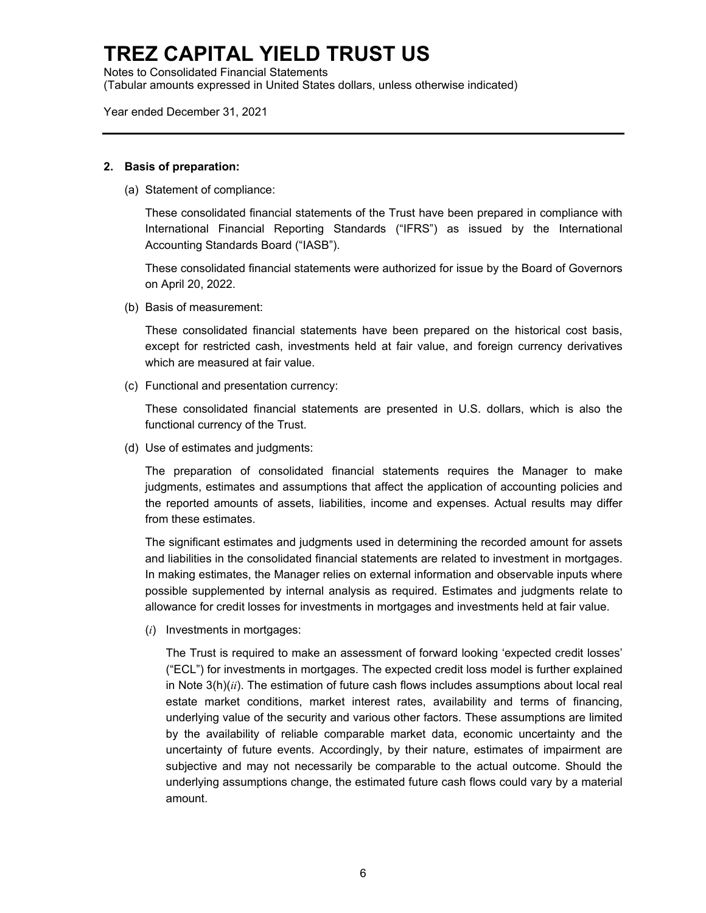Notes to Consolidated Financial Statements (Tabular amounts expressed in United States dollars, unless otherwise indicated)

Year ended December 31, 2021

#### **2. Basis of preparation:**

(a) Statement of compliance:

These consolidated financial statements of the Trust have been prepared in compliance with International Financial Reporting Standards ("IFRS") as issued by the International Accounting Standards Board ("IASB").

These consolidated financial statements were authorized for issue by the Board of Governors on April 20, 2022.

(b) Basis of measurement:

These consolidated financial statements have been prepared on the historical cost basis, except for restricted cash, investments held at fair value, and foreign currency derivatives which are measured at fair value.

(c) Functional and presentation currency:

These consolidated financial statements are presented in U.S. dollars, which is also the functional currency of the Trust.

(d) Use of estimates and judgments:

The preparation of consolidated financial statements requires the Manager to make judgments, estimates and assumptions that affect the application of accounting policies and the reported amounts of assets, liabilities, income and expenses. Actual results may differ from these estimates.

The significant estimates and judgments used in determining the recorded amount for assets and liabilities in the consolidated financial statements are related to investment in mortgages. In making estimates, the Manager relies on external information and observable inputs where possible supplemented by internal analysis as required. Estimates and judgments relate to allowance for credit losses for investments in mortgages and investments held at fair value.

(*i*) Investments in mortgages:

The Trust is required to make an assessment of forward looking 'expected credit losses' ("ECL") for investments in mortgages. The expected credit loss model is further explained in Note 3(h)(*ii*). The estimation of future cash flows includes assumptions about local real estate market conditions, market interest rates, availability and terms of financing, underlying value of the security and various other factors. These assumptions are limited by the availability of reliable comparable market data, economic uncertainty and the uncertainty of future events. Accordingly, by their nature, estimates of impairment are subjective and may not necessarily be comparable to the actual outcome. Should the underlying assumptions change, the estimated future cash flows could vary by a material amount.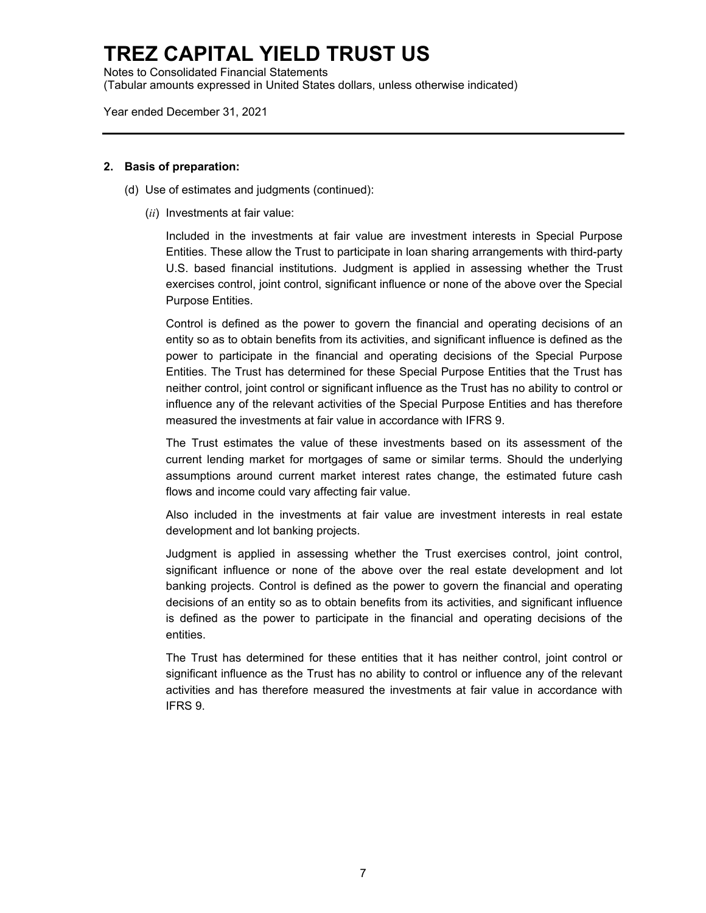Notes to Consolidated Financial Statements (Tabular amounts expressed in United States dollars, unless otherwise indicated)

Year ended December 31, 2021

#### **2. Basis of preparation:**

- (d) Use of estimates and judgments (continued):
	- (*ii*) Investments at fair value:

Included in the investments at fair value are investment interests in Special Purpose Entities. These allow the Trust to participate in loan sharing arrangements with third-party U.S. based financial institutions. Judgment is applied in assessing whether the Trust exercises control, joint control, significant influence or none of the above over the Special Purpose Entities.

Control is defined as the power to govern the financial and operating decisions of an entity so as to obtain benefits from its activities, and significant influence is defined as the power to participate in the financial and operating decisions of the Special Purpose Entities. The Trust has determined for these Special Purpose Entities that the Trust has neither control, joint control or significant influence as the Trust has no ability to control or influence any of the relevant activities of the Special Purpose Entities and has therefore measured the investments at fair value in accordance with IFRS 9.

The Trust estimates the value of these investments based on its assessment of the current lending market for mortgages of same or similar terms. Should the underlying assumptions around current market interest rates change, the estimated future cash flows and income could vary affecting fair value.

Also included in the investments at fair value are investment interests in real estate development and lot banking projects.

Judgment is applied in assessing whether the Trust exercises control, joint control, significant influence or none of the above over the real estate development and lot banking projects. Control is defined as the power to govern the financial and operating decisions of an entity so as to obtain benefits from its activities, and significant influence is defined as the power to participate in the financial and operating decisions of the entities.

The Trust has determined for these entities that it has neither control, joint control or significant influence as the Trust has no ability to control or influence any of the relevant activities and has therefore measured the investments at fair value in accordance with IFRS 9.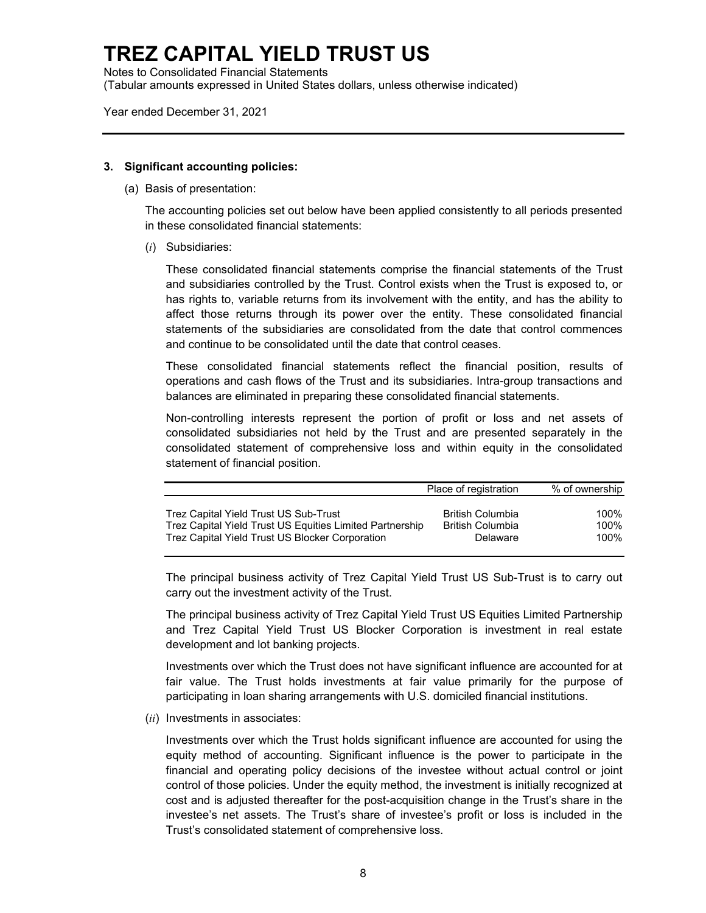Notes to Consolidated Financial Statements (Tabular amounts expressed in United States dollars, unless otherwise indicated)

Year ended December 31, 2021

#### **3. Significant accounting policies:**

(a) Basis of presentation:

The accounting policies set out below have been applied consistently to all periods presented in these consolidated financial statements:

(*i*) Subsidiaries:

These consolidated financial statements comprise the financial statements of the Trust and subsidiaries controlled by the Trust. Control exists when the Trust is exposed to, or has rights to, variable returns from its involvement with the entity, and has the ability to affect those returns through its power over the entity. These consolidated financial statements of the subsidiaries are consolidated from the date that control commences and continue to be consolidated until the date that control ceases.

These consolidated financial statements reflect the financial position, results of operations and cash flows of the Trust and its subsidiaries. Intra-group transactions and balances are eliminated in preparing these consolidated financial statements.

Non-controlling interests represent the portion of profit or loss and net assets of consolidated subsidiaries not held by the Trust and are presented separately in the consolidated statement of comprehensive loss and within equity in the consolidated statement of financial position.

|                                                          | Place of registration   | % of ownership |
|----------------------------------------------------------|-------------------------|----------------|
| Trez Capital Yield Trust US Sub-Trust                    | British Columbia        | 100%           |
| Trez Capital Yield Trust US Equities Limited Partnership | <b>British Columbia</b> | $100\%$        |
| Trez Capital Yield Trust US Blocker Corporation          | Delaware                | 100%           |

The principal business activity of Trez Capital Yield Trust US Sub-Trust is to carry out carry out the investment activity of the Trust.

The principal business activity of Trez Capital Yield Trust US Equities Limited Partnership and Trez Capital Yield Trust US Blocker Corporation is investment in real estate development and lot banking projects.

Investments over which the Trust does not have significant influence are accounted for at fair value. The Trust holds investments at fair value primarily for the purpose of participating in loan sharing arrangements with U.S. domiciled financial institutions.

(*ii*) Investments in associates:

Investments over which the Trust holds significant influence are accounted for using the equity method of accounting. Significant influence is the power to participate in the financial and operating policy decisions of the investee without actual control or joint control of those policies. Under the equity method, the investment is initially recognized at cost and is adjusted thereafter for the post-acquisition change in the Trust's share in the investee's net assets. The Trust's share of investee's profit or loss is included in the Trust's consolidated statement of comprehensive loss.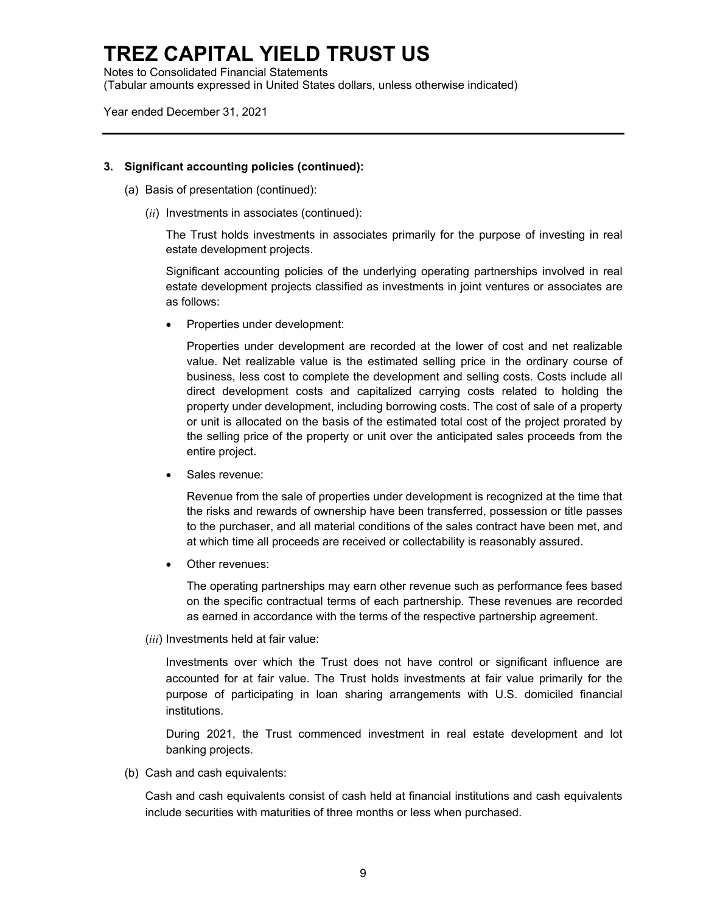Notes to Consolidated Financial Statements (Tabular amounts expressed in United States dollars, unless otherwise indicated)

Year ended December 31, 2021

#### **3. Significant accounting policies (continued):**

- (a) Basis of presentation (continued):
	- (*ii*) Investments in associates (continued):

The Trust holds investments in associates primarily for the purpose of investing in real estate development projects.

Significant accounting policies of the underlying operating partnerships involved in real estate development projects classified as investments in joint ventures or associates are as follows:

Properties under development:

Properties under development are recorded at the lower of cost and net realizable value. Net realizable value is the estimated selling price in the ordinary course of business, less cost to complete the development and selling costs. Costs include all direct development costs and capitalized carrying costs related to holding the property under development, including borrowing costs. The cost of sale of a property or unit is allocated on the basis of the estimated total cost of the project prorated by the selling price of the property or unit over the anticipated sales proceeds from the entire project.

Sales revenue:

Revenue from the sale of properties under development is recognized at the time that the risks and rewards of ownership have been transferred, possession or title passes to the purchaser, and all material conditions of the sales contract have been met, and at which time all proceeds are received or collectability is reasonably assured.

Other revenues:

The operating partnerships may earn other revenue such as performance fees based on the specific contractual terms of each partnership. These revenues are recorded as earned in accordance with the terms of the respective partnership agreement.

(*iii*) Investments held at fair value:

Investments over which the Trust does not have control or significant influence are accounted for at fair value. The Trust holds investments at fair value primarily for the purpose of participating in loan sharing arrangements with U.S. domiciled financial institutions.

During 2021, the Trust commenced investment in real estate development and lot banking projects.

(b) Cash and cash equivalents:

Cash and cash equivalents consist of cash held at financial institutions and cash equivalents include securities with maturities of three months or less when purchased.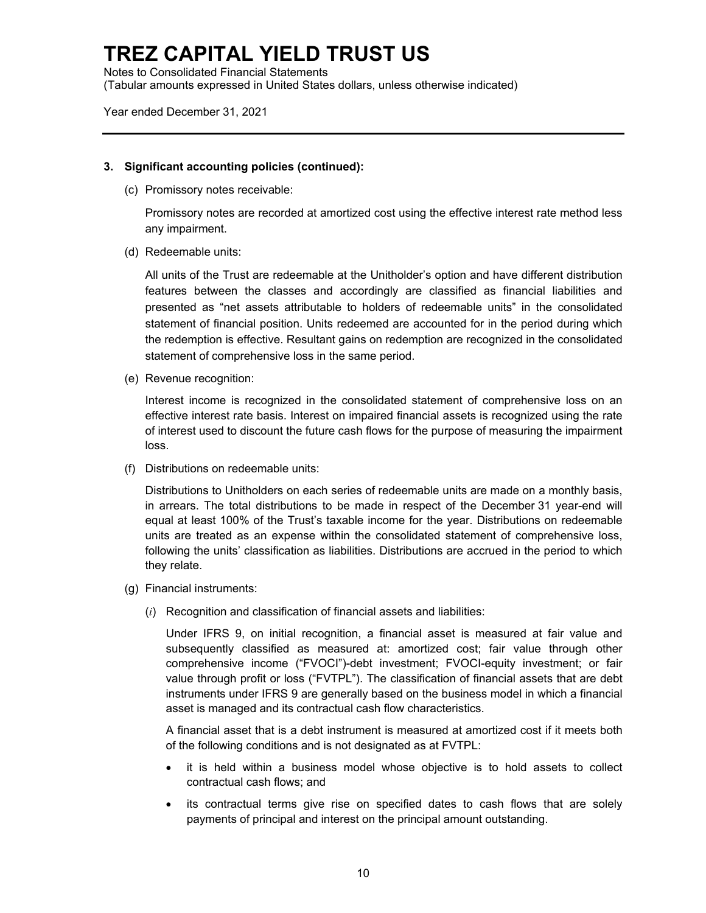Notes to Consolidated Financial Statements (Tabular amounts expressed in United States dollars, unless otherwise indicated)

Year ended December 31, 2021

### **3. Significant accounting policies (continued):**

(c) Promissory notes receivable:

Promissory notes are recorded at amortized cost using the effective interest rate method less any impairment.

(d) Redeemable units:

All units of the Trust are redeemable at the Unitholder's option and have different distribution features between the classes and accordingly are classified as financial liabilities and presented as "net assets attributable to holders of redeemable units" in the consolidated statement of financial position. Units redeemed are accounted for in the period during which the redemption is effective. Resultant gains on redemption are recognized in the consolidated statement of comprehensive loss in the same period.

(e) Revenue recognition:

Interest income is recognized in the consolidated statement of comprehensive loss on an effective interest rate basis. Interest on impaired financial assets is recognized using the rate of interest used to discount the future cash flows for the purpose of measuring the impairment loss.

(f) Distributions on redeemable units:

Distributions to Unitholders on each series of redeemable units are made on a monthly basis, in arrears. The total distributions to be made in respect of the December 31 year-end will equal at least 100% of the Trust's taxable income for the year. Distributions on redeemable units are treated as an expense within the consolidated statement of comprehensive loss, following the units' classification as liabilities. Distributions are accrued in the period to which they relate.

- (g) Financial instruments:
	- (*i*) Recognition and classification of financial assets and liabilities:

Under IFRS 9, on initial recognition, a financial asset is measured at fair value and subsequently classified as measured at: amortized cost; fair value through other comprehensive income ("FVOCI")-debt investment; FVOCI-equity investment; or fair value through profit or loss ("FVTPL"). The classification of financial assets that are debt instruments under IFRS 9 are generally based on the business model in which a financial asset is managed and its contractual cash flow characteristics.

A financial asset that is a debt instrument is measured at amortized cost if it meets both of the following conditions and is not designated as at FVTPL:

- it is held within a business model whose objective is to hold assets to collect contractual cash flows; and
- its contractual terms give rise on specified dates to cash flows that are solely payments of principal and interest on the principal amount outstanding.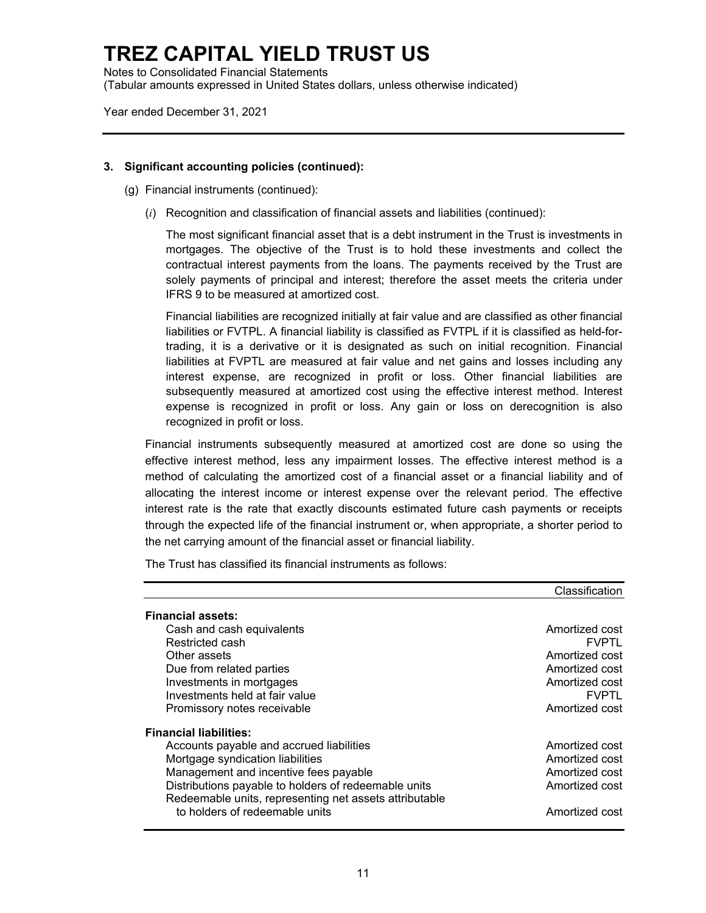Notes to Consolidated Financial Statements (Tabular amounts expressed in United States dollars, unless otherwise indicated)

Year ended December 31, 2021

### **3. Significant accounting policies (continued):**

- (g) Financial instruments (continued):
	- (*i*) Recognition and classification of financial assets and liabilities (continued):

The most significant financial asset that is a debt instrument in the Trust is investments in mortgages. The objective of the Trust is to hold these investments and collect the contractual interest payments from the loans. The payments received by the Trust are solely payments of principal and interest; therefore the asset meets the criteria under IFRS 9 to be measured at amortized cost.

Financial liabilities are recognized initially at fair value and are classified as other financial liabilities or FVTPL. A financial liability is classified as FVTPL if it is classified as held-fortrading, it is a derivative or it is designated as such on initial recognition. Financial liabilities at FVPTL are measured at fair value and net gains and losses including any interest expense, are recognized in profit or loss. Other financial liabilities are subsequently measured at amortized cost using the effective interest method. Interest expense is recognized in profit or loss. Any gain or loss on derecognition is also recognized in profit or loss.

Financial instruments subsequently measured at amortized cost are done so using the effective interest method, less any impairment losses. The effective interest method is a method of calculating the amortized cost of a financial asset or a financial liability and of allocating the interest income or interest expense over the relevant period. The effective interest rate is the rate that exactly discounts estimated future cash payments or receipts through the expected life of the financial instrument or, when appropriate, a shorter period to the net carrying amount of the financial asset or financial liability.

The Trust has classified its financial instruments as follows:

|                                                        | Classification |
|--------------------------------------------------------|----------------|
| <b>Financial assets:</b>                               |                |
| Cash and cash equivalents                              | Amortized cost |
| Restricted cash                                        | <b>FVPTL</b>   |
| Other assets                                           | Amortized cost |
| Due from related parties                               | Amortized cost |
| Investments in mortgages                               | Amortized cost |
| Investments held at fair value                         | <b>FVPTL</b>   |
| Promissory notes receivable                            | Amortized cost |
| <b>Financial liabilities:</b>                          |                |
| Accounts payable and accrued liabilities               | Amortized cost |
| Mortgage syndication liabilities                       | Amortized cost |
| Management and incentive fees payable                  | Amortized cost |
| Distributions payable to holders of redeemable units   | Amortized cost |
| Redeemable units, representing net assets attributable |                |
| to holders of redeemable units                         | Amortized cost |
|                                                        |                |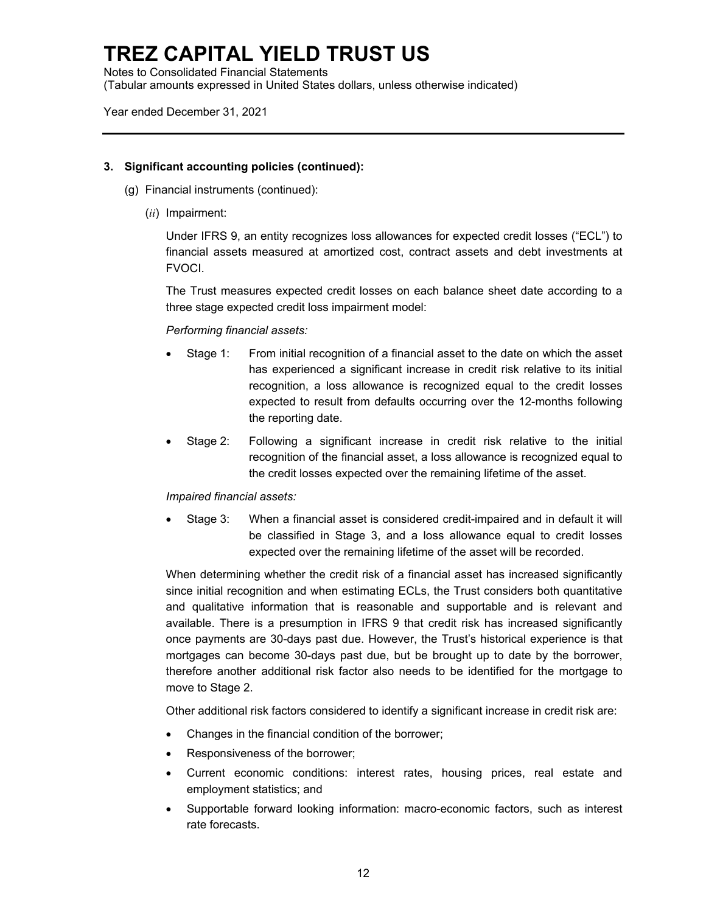Notes to Consolidated Financial Statements (Tabular amounts expressed in United States dollars, unless otherwise indicated)

Year ended December 31, 2021

### **3. Significant accounting policies (continued):**

- (g) Financial instruments (continued):
	- (*ii*) Impairment:

Under IFRS 9, an entity recognizes loss allowances for expected credit losses ("ECL") to financial assets measured at amortized cost, contract assets and debt investments at FVOCI.

The Trust measures expected credit losses on each balance sheet date according to a three stage expected credit loss impairment model:

### *Performing financial assets:*

- Stage 1: From initial recognition of a financial asset to the date on which the asset has experienced a significant increase in credit risk relative to its initial recognition, a loss allowance is recognized equal to the credit losses expected to result from defaults occurring over the 12-months following the reporting date.
- Stage 2: Following a significant increase in credit risk relative to the initial recognition of the financial asset, a loss allowance is recognized equal to the credit losses expected over the remaining lifetime of the asset.

### *Impaired financial assets:*

 Stage 3: When a financial asset is considered credit-impaired and in default it will be classified in Stage 3, and a loss allowance equal to credit losses expected over the remaining lifetime of the asset will be recorded.

When determining whether the credit risk of a financial asset has increased significantly since initial recognition and when estimating ECLs, the Trust considers both quantitative and qualitative information that is reasonable and supportable and is relevant and available. There is a presumption in IFRS 9 that credit risk has increased significantly once payments are 30-days past due. However, the Trust's historical experience is that mortgages can become 30-days past due, but be brought up to date by the borrower, therefore another additional risk factor also needs to be identified for the mortgage to move to Stage 2.

Other additional risk factors considered to identify a significant increase in credit risk are:

- Changes in the financial condition of the borrower;
- Responsiveness of the borrower;
- Current economic conditions: interest rates, housing prices, real estate and employment statistics; and
- Supportable forward looking information: macro-economic factors, such as interest rate forecasts.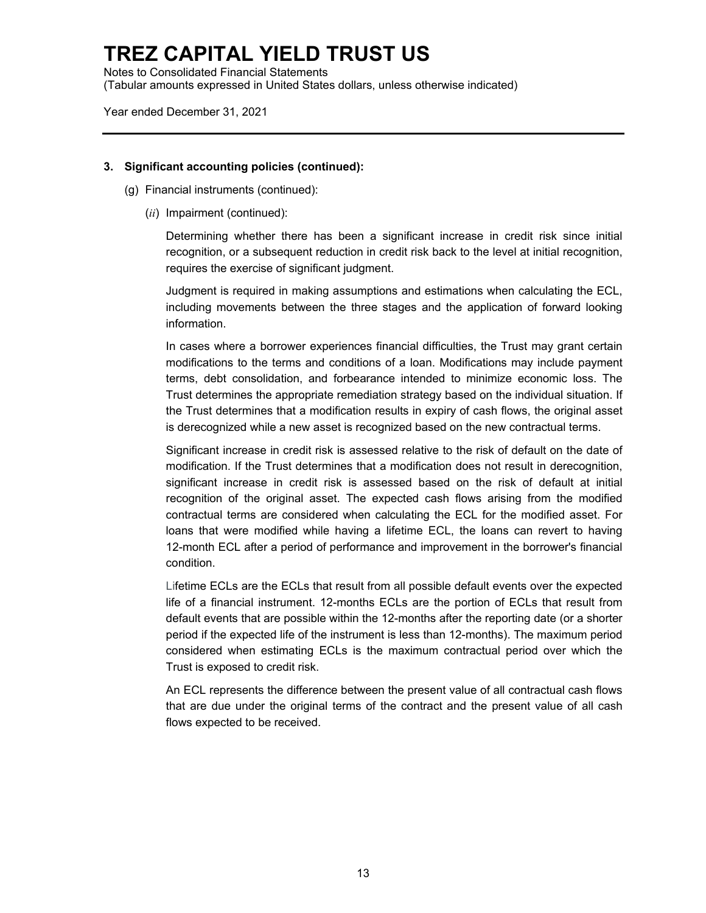Notes to Consolidated Financial Statements (Tabular amounts expressed in United States dollars, unless otherwise indicated)

Year ended December 31, 2021

### **3. Significant accounting policies (continued):**

- (g) Financial instruments (continued):
	- (*ii*) Impairment (continued):

Determining whether there has been a significant increase in credit risk since initial recognition, or a subsequent reduction in credit risk back to the level at initial recognition, requires the exercise of significant judgment.

Judgment is required in making assumptions and estimations when calculating the ECL, including movements between the three stages and the application of forward looking information.

In cases where a borrower experiences financial difficulties, the Trust may grant certain modifications to the terms and conditions of a loan. Modifications may include payment terms, debt consolidation, and forbearance intended to minimize economic loss. The Trust determines the appropriate remediation strategy based on the individual situation. If the Trust determines that a modification results in expiry of cash flows, the original asset is derecognized while a new asset is recognized based on the new contractual terms.

Significant increase in credit risk is assessed relative to the risk of default on the date of modification. If the Trust determines that a modification does not result in derecognition, significant increase in credit risk is assessed based on the risk of default at initial recognition of the original asset. The expected cash flows arising from the modified contractual terms are considered when calculating the ECL for the modified asset. For loans that were modified while having a lifetime ECL, the loans can revert to having 12-month ECL after a period of performance and improvement in the borrower's financial condition.

Lifetime ECLs are the ECLs that result from all possible default events over the expected life of a financial instrument. 12-months ECLs are the portion of ECLs that result from default events that are possible within the 12-months after the reporting date (or a shorter period if the expected life of the instrument is less than 12-months). The maximum period considered when estimating ECLs is the maximum contractual period over which the Trust is exposed to credit risk.

An ECL represents the difference between the present value of all contractual cash flows that are due under the original terms of the contract and the present value of all cash flows expected to be received.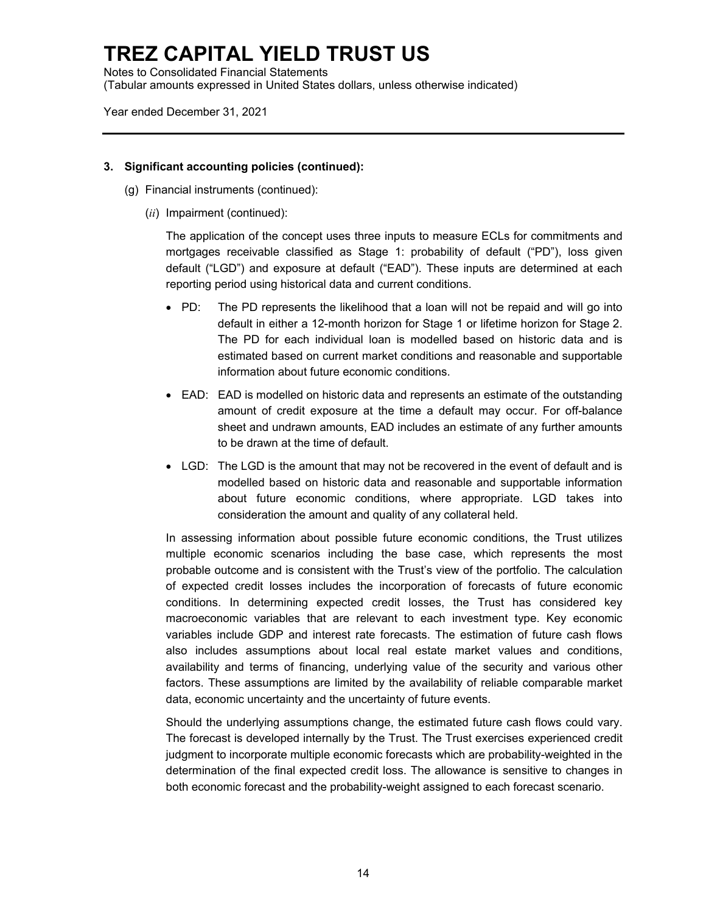Notes to Consolidated Financial Statements (Tabular amounts expressed in United States dollars, unless otherwise indicated)

Year ended December 31, 2021

### **3. Significant accounting policies (continued):**

- (g) Financial instruments (continued):
	- (*ii*) Impairment (continued):

The application of the concept uses three inputs to measure ECLs for commitments and mortgages receivable classified as Stage 1: probability of default ("PD"), loss given default ("LGD") and exposure at default ("EAD"). These inputs are determined at each reporting period using historical data and current conditions.

- PD: The PD represents the likelihood that a loan will not be repaid and will go into default in either a 12-month horizon for Stage 1 or lifetime horizon for Stage 2. The PD for each individual loan is modelled based on historic data and is estimated based on current market conditions and reasonable and supportable information about future economic conditions.
- EAD: EAD is modelled on historic data and represents an estimate of the outstanding amount of credit exposure at the time a default may occur. For off-balance sheet and undrawn amounts, EAD includes an estimate of any further amounts to be drawn at the time of default.
- LGD: The LGD is the amount that may not be recovered in the event of default and is modelled based on historic data and reasonable and supportable information about future economic conditions, where appropriate. LGD takes into consideration the amount and quality of any collateral held.

In assessing information about possible future economic conditions, the Trust utilizes multiple economic scenarios including the base case, which represents the most probable outcome and is consistent with the Trust's view of the portfolio. The calculation of expected credit losses includes the incorporation of forecasts of future economic conditions. In determining expected credit losses, the Trust has considered key macroeconomic variables that are relevant to each investment type. Key economic variables include GDP and interest rate forecasts. The estimation of future cash flows also includes assumptions about local real estate market values and conditions, availability and terms of financing, underlying value of the security and various other factors. These assumptions are limited by the availability of reliable comparable market data, economic uncertainty and the uncertainty of future events.

Should the underlying assumptions change, the estimated future cash flows could vary. The forecast is developed internally by the Trust. The Trust exercises experienced credit judgment to incorporate multiple economic forecasts which are probability-weighted in the determination of the final expected credit loss. The allowance is sensitive to changes in both economic forecast and the probability-weight assigned to each forecast scenario.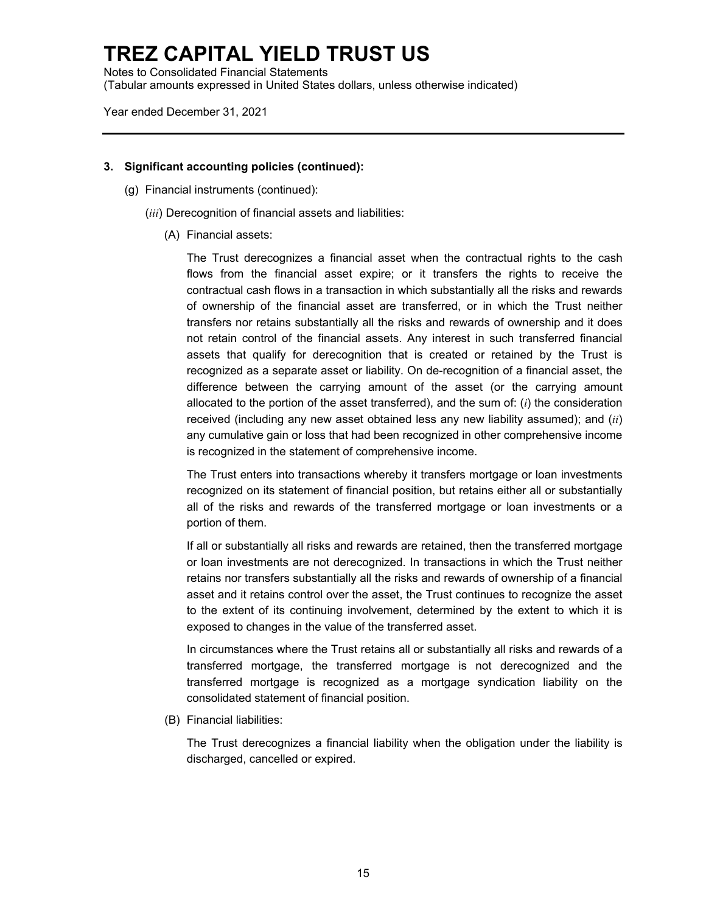Notes to Consolidated Financial Statements (Tabular amounts expressed in United States dollars, unless otherwise indicated)

Year ended December 31, 2021

#### **3. Significant accounting policies (continued):**

- (g) Financial instruments (continued):
	- (*iii*) Derecognition of financial assets and liabilities:
		- (A) Financial assets:

The Trust derecognizes a financial asset when the contractual rights to the cash flows from the financial asset expire; or it transfers the rights to receive the contractual cash flows in a transaction in which substantially all the risks and rewards of ownership of the financial asset are transferred, or in which the Trust neither transfers nor retains substantially all the risks and rewards of ownership and it does not retain control of the financial assets. Any interest in such transferred financial assets that qualify for derecognition that is created or retained by the Trust is recognized as a separate asset or liability. On de-recognition of a financial asset, the difference between the carrying amount of the asset (or the carrying amount allocated to the portion of the asset transferred), and the sum of: (*i*) the consideration received (including any new asset obtained less any new liability assumed); and (*ii*) any cumulative gain or loss that had been recognized in other comprehensive income is recognized in the statement of comprehensive income.

The Trust enters into transactions whereby it transfers mortgage or loan investments recognized on its statement of financial position, but retains either all or substantially all of the risks and rewards of the transferred mortgage or loan investments or a portion of them.

If all or substantially all risks and rewards are retained, then the transferred mortgage or loan investments are not derecognized. In transactions in which the Trust neither retains nor transfers substantially all the risks and rewards of ownership of a financial asset and it retains control over the asset, the Trust continues to recognize the asset to the extent of its continuing involvement, determined by the extent to which it is exposed to changes in the value of the transferred asset.

In circumstances where the Trust retains all or substantially all risks and rewards of a transferred mortgage, the transferred mortgage is not derecognized and the transferred mortgage is recognized as a mortgage syndication liability on the consolidated statement of financial position.

(B) Financial liabilities:

The Trust derecognizes a financial liability when the obligation under the liability is discharged, cancelled or expired.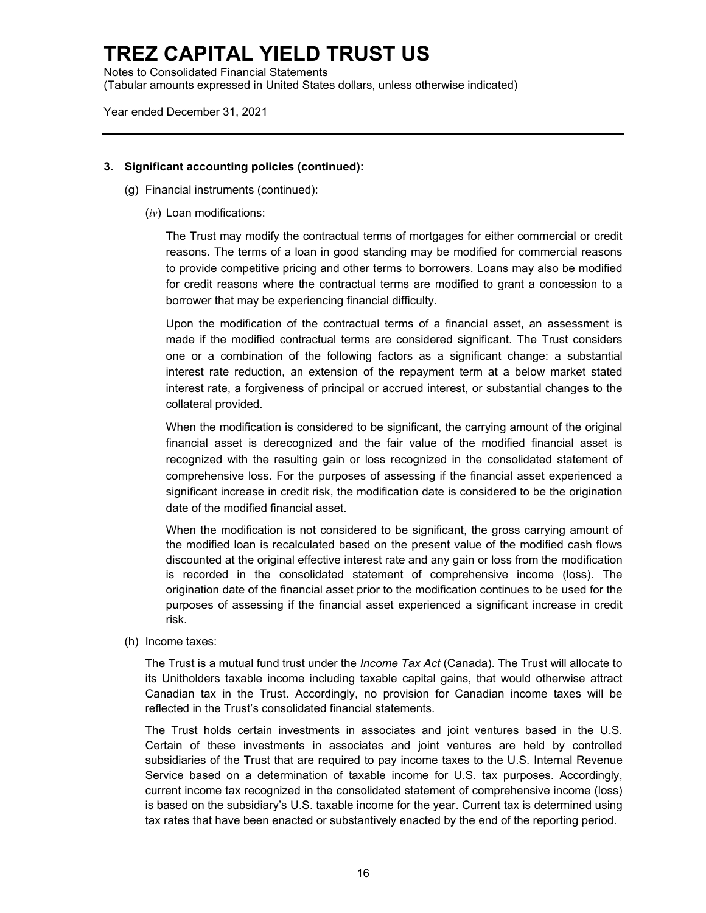Notes to Consolidated Financial Statements (Tabular amounts expressed in United States dollars, unless otherwise indicated)

Year ended December 31, 2021

### **3. Significant accounting policies (continued):**

- (g) Financial instruments (continued):
	- (*iv*) Loan modifications:

The Trust may modify the contractual terms of mortgages for either commercial or credit reasons. The terms of a loan in good standing may be modified for commercial reasons to provide competitive pricing and other terms to borrowers. Loans may also be modified for credit reasons where the contractual terms are modified to grant a concession to a borrower that may be experiencing financial difficulty.

Upon the modification of the contractual terms of a financial asset, an assessment is made if the modified contractual terms are considered significant. The Trust considers one or a combination of the following factors as a significant change: a substantial interest rate reduction, an extension of the repayment term at a below market stated interest rate, a forgiveness of principal or accrued interest, or substantial changes to the collateral provided.

When the modification is considered to be significant, the carrying amount of the original financial asset is derecognized and the fair value of the modified financial asset is recognized with the resulting gain or loss recognized in the consolidated statement of comprehensive loss. For the purposes of assessing if the financial asset experienced a significant increase in credit risk, the modification date is considered to be the origination date of the modified financial asset.

When the modification is not considered to be significant, the gross carrying amount of the modified loan is recalculated based on the present value of the modified cash flows discounted at the original effective interest rate and any gain or loss from the modification is recorded in the consolidated statement of comprehensive income (loss). The origination date of the financial asset prior to the modification continues to be used for the purposes of assessing if the financial asset experienced a significant increase in credit risk.

(h) Income taxes:

The Trust is a mutual fund trust under the *Income Tax Act* (Canada). The Trust will allocate to its Unitholders taxable income including taxable capital gains, that would otherwise attract Canadian tax in the Trust. Accordingly, no provision for Canadian income taxes will be reflected in the Trust's consolidated financial statements.

The Trust holds certain investments in associates and joint ventures based in the U.S. Certain of these investments in associates and joint ventures are held by controlled subsidiaries of the Trust that are required to pay income taxes to the U.S. Internal Revenue Service based on a determination of taxable income for U.S. tax purposes. Accordingly, current income tax recognized in the consolidated statement of comprehensive income (loss) is based on the subsidiary's U.S. taxable income for the year. Current tax is determined using tax rates that have been enacted or substantively enacted by the end of the reporting period.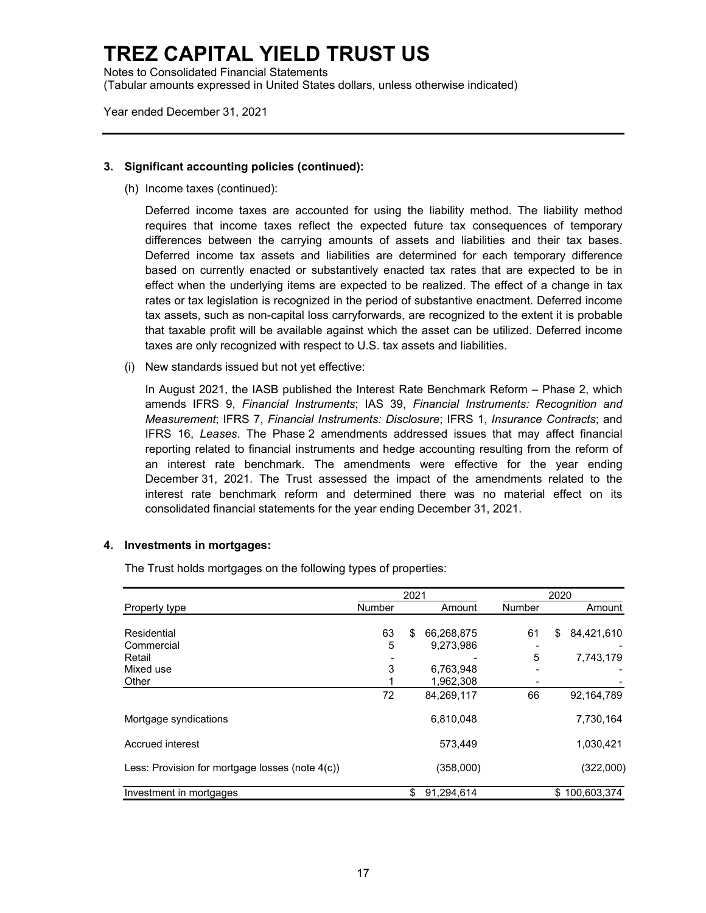Notes to Consolidated Financial Statements (Tabular amounts expressed in United States dollars, unless otherwise indicated)

Year ended December 31, 2021

#### **3. Significant accounting policies (continued):**

(h) Income taxes (continued):

Deferred income taxes are accounted for using the liability method. The liability method requires that income taxes reflect the expected future tax consequences of temporary differences between the carrying amounts of assets and liabilities and their tax bases. Deferred income tax assets and liabilities are determined for each temporary difference based on currently enacted or substantively enacted tax rates that are expected to be in effect when the underlying items are expected to be realized. The effect of a change in tax rates or tax legislation is recognized in the period of substantive enactment. Deferred income tax assets, such as non-capital loss carryforwards, are recognized to the extent it is probable that taxable profit will be available against which the asset can be utilized. Deferred income taxes are only recognized with respect to U.S. tax assets and liabilities.

(i) New standards issued but not yet effective:

In August 2021, the IASB published the Interest Rate Benchmark Reform – Phase 2, which amends IFRS 9, *Financial Instruments*; IAS 39, *Financial Instruments: Recognition and Measurement*; IFRS 7, *Financial Instruments: Disclosure*; IFRS 1, *Insurance Contracts*; and IFRS 16, *Leases*. The Phase 2 amendments addressed issues that may affect financial reporting related to financial instruments and hedge accounting resulting from the reform of an interest rate benchmark. The amendments were effective for the year ending December 31, 2021. The Trust assessed the impact of the amendments related to the interest rate benchmark reform and determined there was no material effect on its consolidated financial statements for the year ending December 31, 2021.

### **4. Investments in mortgages:**

The Trust holds mortgages on the following types of properties:

|                                                 | 2021          |    |            |               | 2020 |               |
|-------------------------------------------------|---------------|----|------------|---------------|------|---------------|
| Property type                                   | <b>Number</b> |    | Amount     | <b>Number</b> |      | Amount        |
|                                                 |               |    |            |               |      |               |
| Residential                                     | 63            | \$ | 66,268,875 | 61            | \$   | 84,421,610    |
| Commercial                                      | 5             |    | 9,273,986  |               |      |               |
| Retail                                          |               |    |            | 5             |      | 7,743,179     |
| Mixed use                                       | 3             |    | 6,763,948  |               |      |               |
| Other                                           |               |    | 1,962,308  |               |      |               |
|                                                 | 72            |    | 84,269,117 | 66            |      | 92,164,789    |
| Mortgage syndications                           |               |    | 6,810,048  |               |      | 7,730,164     |
| Accrued interest                                |               |    | 573.449    |               |      | 1,030,421     |
| Less: Provision for mortgage losses (note 4(c)) |               |    | (358,000)  |               |      | (322,000)     |
| Investment in mortgages                         |               | \$ | 91.294.614 |               |      | \$100.603.374 |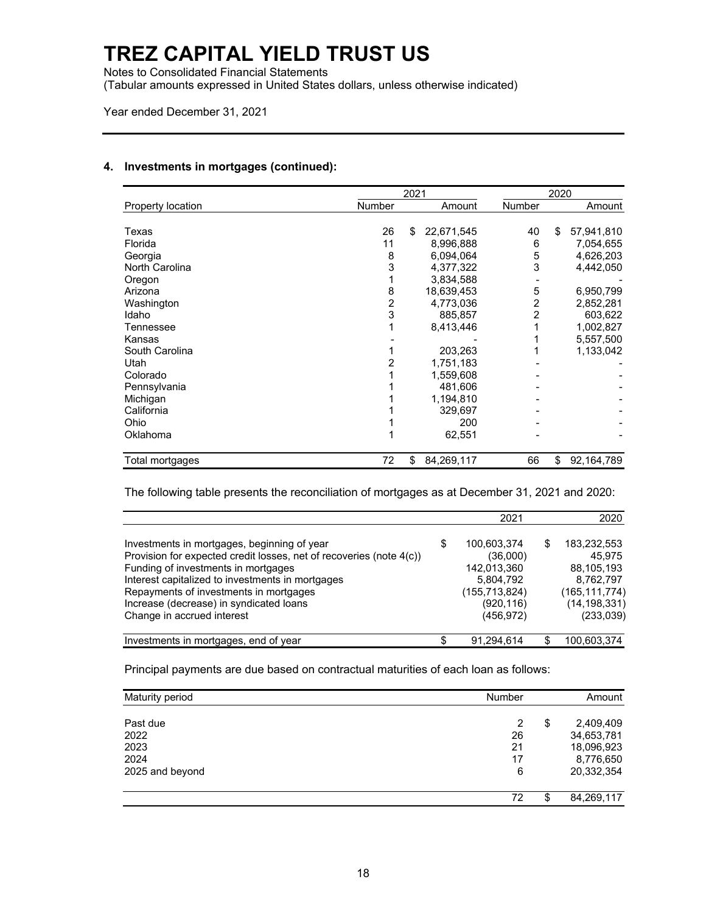Notes to Consolidated Financial Statements

(Tabular amounts expressed in United States dollars, unless otherwise indicated)

Year ended December 31, 2021

#### **4. Investments in mortgages (continued):**

|                             | 2021 |    |            |               | 2020 |            |
|-----------------------------|------|----|------------|---------------|------|------------|
| Number<br>Property location |      |    | Amount     | <b>Number</b> |      | Amount     |
|                             |      |    |            |               |      |            |
| Texas                       | 26   | \$ | 22,671,545 | 40            | \$   | 57,941,810 |
| Florida                     | 11   |    | 8,996,888  | 6             |      | 7,054,655  |
| Georgia                     | 8    |    | 6,094,064  | 5             |      | 4,626,203  |
| North Carolina              | 3    |    | 4,377,322  | 3             |      | 4,442,050  |
| Oregon                      |      |    | 3,834,588  |               |      |            |
| Arizona                     | 8    |    | 18,639,453 | 5             |      | 6,950,799  |
| Washington                  | 2    |    | 4,773,036  | 2             |      | 2,852,281  |
| Idaho                       | 3    |    | 885,857    | 2             |      | 603,622    |
| Tennessee                   |      |    | 8,413,446  |               |      | 1,002,827  |
| Kansas                      |      |    |            |               |      | 5,557,500  |
| South Carolina              |      |    | 203,263    |               |      | 1,133,042  |
| Utah                        |      |    | 1,751,183  |               |      |            |
| Colorado                    |      |    | 1,559,608  |               |      |            |
| Pennsylvania                |      |    | 481,606    |               |      |            |
| Michigan                    |      |    | 1,194,810  |               |      |            |
| California                  |      |    | 329,697    |               |      |            |
| Ohio                        |      |    | 200        |               |      |            |
| Oklahoma                    |      |    | 62,551     |               |      |            |
| Total mortgages             | 72   | \$ | 84,269,117 | 66            | \$   | 92,164,789 |

The following table presents the reconciliation of mortgages as at December 31, 2021 and 2020:

|                                                                     | 2021              |   | 2020            |
|---------------------------------------------------------------------|-------------------|---|-----------------|
| Investments in mortgages, beginning of year                         | \$<br>100,603,374 | S | 183,232,553     |
| Provision for expected credit losses, net of recoveries (note 4(c)) | (36,000)          |   | 45.975          |
| Funding of investments in mortgages                                 | 142,013,360       |   | 88,105,193      |
| Interest capitalized to investments in mortgages                    | 5,804,792         |   | 8,762,797       |
| Repayments of investments in mortgages                              | (155, 713, 824)   |   | (165, 111, 774) |
| Increase (decrease) in syndicated loans                             | (920, 116)        |   | (14, 198, 331)  |
| Change in accrued interest                                          | (456, 972)        |   | (233,039)       |
| Investments in mortgages, end of year                               | 91,294,614        |   | 100,603,374     |

Principal payments are due based on contractual maturities of each loan as follows:

| Maturity period | <b>Number</b> |    | Amount     |
|-----------------|---------------|----|------------|
| Past due        | 2             | \$ | 2,409,409  |
| 2022            | 26            |    | 34,653,781 |
| 2023            | 21            |    | 18,096,923 |
| 2024            | 17            |    | 8,776,650  |
| 2025 and beyond | 6             |    | 20,332,354 |
|                 | 72            | æ  | 84,269,117 |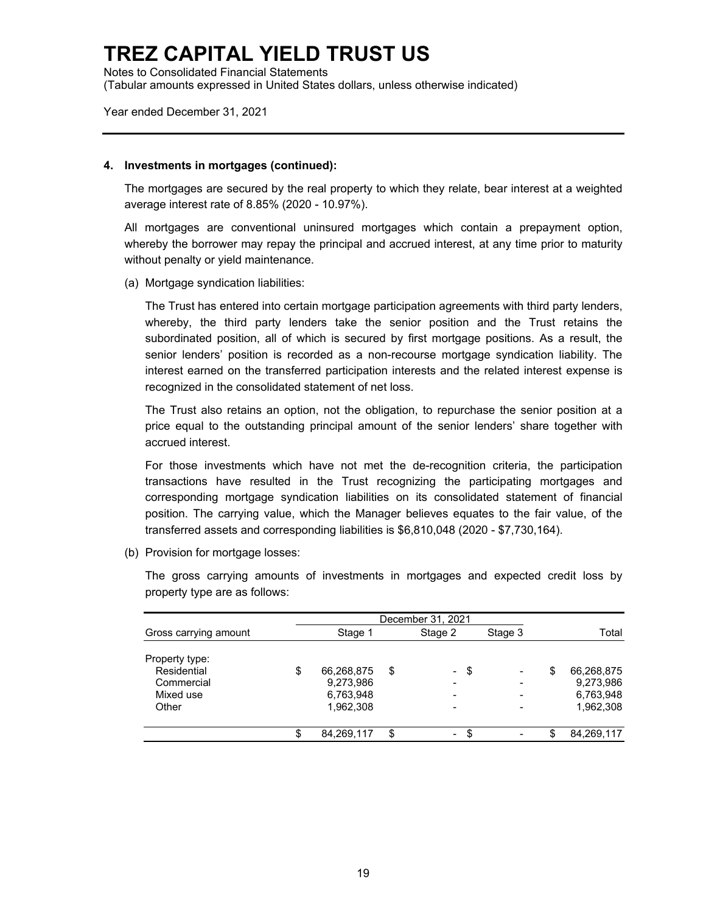Notes to Consolidated Financial Statements (Tabular amounts expressed in United States dollars, unless otherwise indicated)

Year ended December 31, 2021

#### **4. Investments in mortgages (continued):**

The mortgages are secured by the real property to which they relate, bear interest at a weighted average interest rate of 8.85% (2020 - 10.97%).

All mortgages are conventional uninsured mortgages which contain a prepayment option, whereby the borrower may repay the principal and accrued interest, at any time prior to maturity without penalty or yield maintenance.

(a) Mortgage syndication liabilities:

The Trust has entered into certain mortgage participation agreements with third party lenders, whereby, the third party lenders take the senior position and the Trust retains the subordinated position, all of which is secured by first mortgage positions. As a result, the senior lenders' position is recorded as a non-recourse mortgage syndication liability. The interest earned on the transferred participation interests and the related interest expense is recognized in the consolidated statement of net loss.

The Trust also retains an option, not the obligation, to repurchase the senior position at a price equal to the outstanding principal amount of the senior lenders' share together with accrued interest.

For those investments which have not met the de-recognition criteria, the participation transactions have resulted in the Trust recognizing the participating mortgages and corresponding mortgage syndication liabilities on its consolidated statement of financial position. The carrying value, which the Manager believes equates to the fair value, of the transferred assets and corresponding liabilities is \$6,810,048 (2020 - \$7,730,164).

(b) Provision for mortgage losses:

The gross carrying amounts of investments in mortgages and expected credit loss by property type are as follows:

|                       | December 31, 2021 |    |                |    |                          |   |            |
|-----------------------|-------------------|----|----------------|----|--------------------------|---|------------|
| Gross carrying amount | Stage 1           |    | Stage 2        |    | Stage 3                  |   | Total      |
| Property type:        |                   |    |                |    |                          |   |            |
| Residential           | \$<br>66,268,875  | \$ | $\sim$         | \$ | $\overline{\phantom{0}}$ | S | 66,268,875 |
| Commercial            | 9,273,986         |    |                |    | -                        |   | 9,273,986  |
| Mixed use             | 6,763,948         |    | -              |    |                          |   | 6,763,948  |
| Other                 | 1,962,308         |    |                |    |                          |   | 1,962,308  |
|                       | \$<br>84,269,117  | \$ | $\blacksquare$ | \$ |                          |   | 84,269,117 |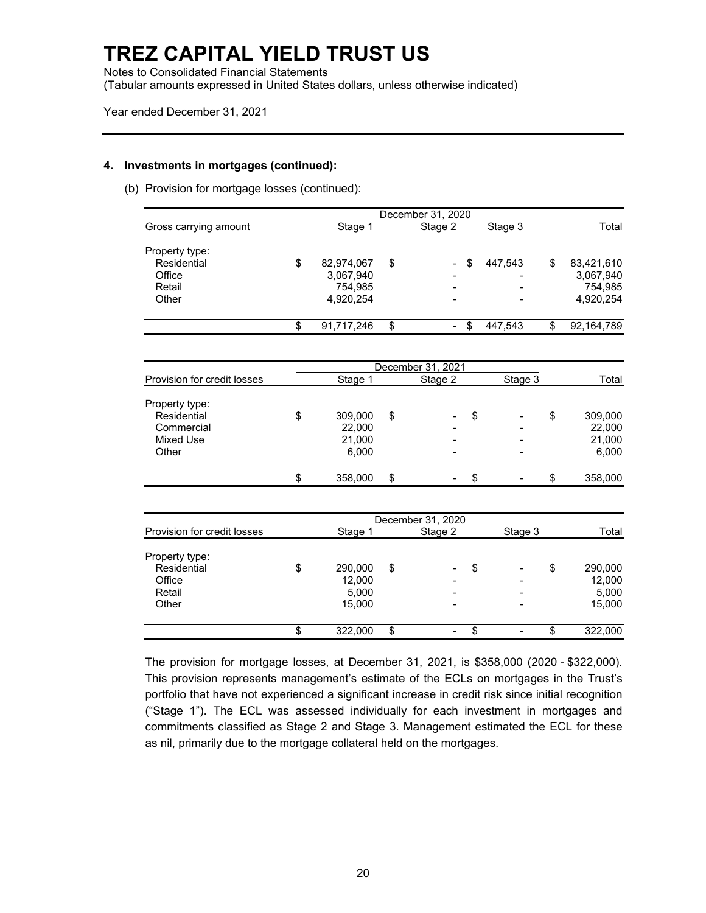Notes to Consolidated Financial Statements

(Tabular amounts expressed in United States dollars, unless otherwise indicated)

Year ended December 31, 2021

#### **4. Investments in mortgages (continued):**

(b) Provision for mortgage losses (continued):

|                       | December 31, 2020 |                                |               |   |            |
|-----------------------|-------------------|--------------------------------|---------------|---|------------|
| Gross carrying amount | Stage 1           | Stage 2                        | Stage 3       |   | Total      |
| Property type:        |                   |                                |               |   |            |
| Residential           | \$<br>82,974,067  | \$<br>$\blacksquare$           | \$<br>447.543 | S | 83,421,610 |
| Office                | 3,067,940         |                                |               |   | 3,067,940  |
| Retail                | 754.985           |                                | ۰             |   | 754,985    |
| Other                 | 4,920,254         |                                |               |   | 4,920,254  |
|                       | \$<br>91,717,246  | \$<br>$\overline{\phantom{a}}$ | \$<br>447.543 |   | 92,164,789 |

|                             |    | December 31, 2021 |                                                                                                                                                         |    |                          |    |         |
|-----------------------------|----|-------------------|---------------------------------------------------------------------------------------------------------------------------------------------------------|----|--------------------------|----|---------|
| Provision for credit losses |    | Stage 1           | Stage 2                                                                                                                                                 |    | Stage 3                  |    | Total   |
| Property type:              |    |                   |                                                                                                                                                         |    |                          |    |         |
| Residential                 | \$ | 309,000           | \$<br>$\hskip1.6pt\hskip1.6pt\hskip1.6pt\hskip1.6pt\hskip1.6pt\hskip1.6pt\hskip1.6pt\hskip1.6pt\hskip1.6pt\hskip1.6pt\hskip1.6pt\hskip1.6pt\hskip1.6pt$ | \$ | $\overline{\phantom{a}}$ | \$ | 309,000 |
| Commercial                  |    | 22,000            |                                                                                                                                                         |    |                          |    | 22,000  |
| Mixed Use                   |    | 21,000            |                                                                                                                                                         |    |                          |    | 21,000  |
| Other                       |    | 6,000             |                                                                                                                                                         |    |                          |    | 6,000   |
|                             | Œ  | 358,000           | \$<br>$\blacksquare$                                                                                                                                    | S  | $\,$                     | S  | 358,000 |

|                             |               | December 31, 2020              |    |                          |    |         |  |
|-----------------------------|---------------|--------------------------------|----|--------------------------|----|---------|--|
| Provision for credit losses | Stage 1       | Stage 2                        |    | Stage 3                  |    | Total   |  |
| Property type:              |               |                                |    |                          |    |         |  |
| Residential                 | \$<br>290,000 | \$<br>$\overline{\phantom{0}}$ | \$ | $\overline{\phantom{a}}$ | \$ | 290,000 |  |
| Office                      | 12,000        |                                |    |                          |    | 12,000  |  |
| Retail                      | 5,000         |                                |    |                          |    | 5,000   |  |
| Other                       | 15.000        |                                |    |                          |    | 15,000  |  |
|                             | \$<br>322,000 | \$<br>$\blacksquare$           | S  | $\overline{\phantom{a}}$ | \$ | 322,000 |  |

The provision for mortgage losses, at December 31, 2021, is \$358,000 (2020 - \$322,000). This provision represents management's estimate of the ECLs on mortgages in the Trust's portfolio that have not experienced a significant increase in credit risk since initial recognition ("Stage 1"). The ECL was assessed individually for each investment in mortgages and commitments classified as Stage 2 and Stage 3. Management estimated the ECL for these as nil, primarily due to the mortgage collateral held on the mortgages.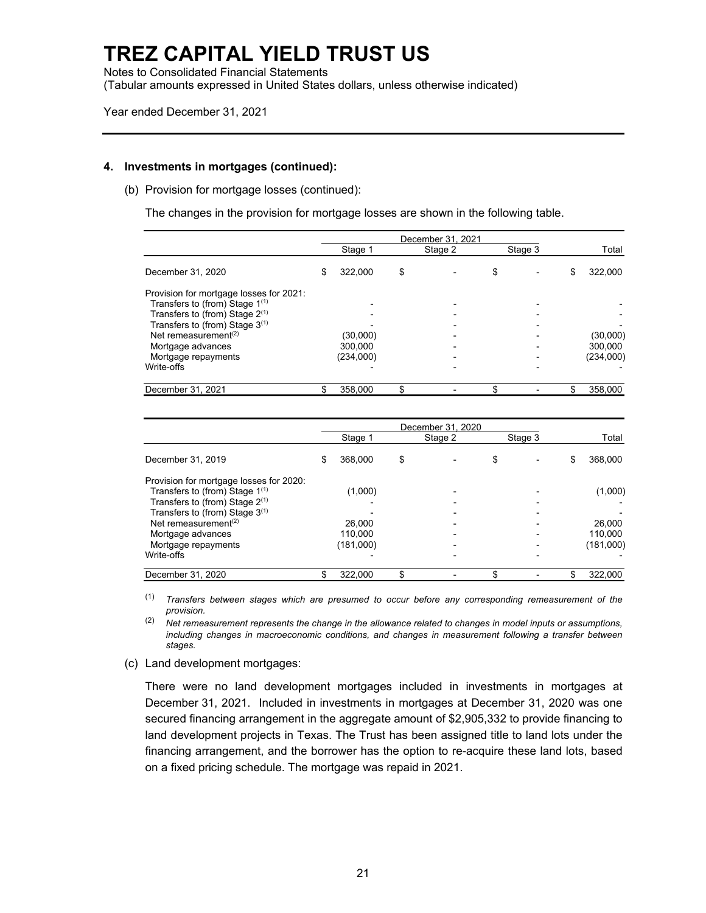Notes to Consolidated Financial Statements (Tabular amounts expressed in United States dollars, unless otherwise indicated)

Year ended December 31, 2021

#### **4. Investments in mortgages (continued):**

(b) Provision for mortgage losses (continued):

The changes in the provision for mortgage losses are shown in the following table.

|                                         | December 31, 2021 |           |    |         |  |         |    |           |
|-----------------------------------------|-------------------|-----------|----|---------|--|---------|----|-----------|
|                                         |                   | Stage 1   |    | Stage 2 |  | Stage 3 |    | Total     |
| December 31, 2020                       | S                 | 322.000   | \$ |         |  |         | \$ | 322,000   |
| Provision for mortgage losses for 2021: |                   |           |    |         |  |         |    |           |
| Transfers to (from) Stage $1^{(1)}$     |                   |           |    |         |  |         |    |           |
| Transfers to (from) Stage $2^{(1)}$     |                   |           |    |         |  |         |    |           |
| Transfers to (from) Stage 3(1)          |                   |           |    |         |  |         |    |           |
| Net remeasurement $(2)$                 |                   | (30,000)  |    |         |  |         |    | (30,000)  |
| Mortgage advances                       |                   | 300.000   |    |         |  |         |    | 300.000   |
| Mortgage repayments                     |                   | (234,000) |    |         |  |         |    | (234,000) |
| Write-offs                              |                   |           |    |         |  |         |    |           |
| December 31, 2021                       |                   | 358,000   |    |         |  |         |    | 358,000   |

|                                         | December 31, 2020 |           |    |         |     |         |   |           |
|-----------------------------------------|-------------------|-----------|----|---------|-----|---------|---|-----------|
|                                         |                   | Stage 1   |    | Stage 2 |     | Stage 3 |   | Total     |
| December 31, 2019                       | S                 | 368,000   | \$ |         | \$  |         | S | 368,000   |
| Provision for mortgage losses for 2020: |                   |           |    |         |     |         |   |           |
| Transfers to (from) Stage $1^{(1)}$     |                   | (1,000)   |    |         |     |         |   | (1,000)   |
| Transfers to (from) Stage $2^{(1)}$     |                   |           |    |         |     |         |   |           |
| Transfers to (from) Stage $3^{(1)}$     |                   |           |    |         |     |         |   |           |
| Net remeasurement $(2)$                 |                   | 26.000    |    |         |     |         |   | 26,000    |
| Mortgage advances                       |                   | 110.000   |    |         |     |         |   | 110.000   |
| Mortgage repayments                     |                   | (181,000) |    |         |     |         |   | (181,000) |
| Write-offs                              |                   |           |    |         |     |         |   |           |
| December 31, 2020                       |                   | 322,000   | \$ |         | \$. |         |   | 322,000   |

(1) *Transfers between stages which are presumed to occur before any corresponding remeasurement of the provision.* 

(2) *Net remeasurement represents the change in the allowance related to changes in model inputs or assumptions, including changes in macroeconomic conditions, and changes in measurement following a transfer between stages.* 

(c) Land development mortgages:

There were no land development mortgages included in investments in mortgages at December 31, 2021. Included in investments in mortgages at December 31, 2020 was one secured financing arrangement in the aggregate amount of \$2,905,332 to provide financing to land development projects in Texas. The Trust has been assigned title to land lots under the financing arrangement, and the borrower has the option to re-acquire these land lots, based on a fixed pricing schedule. The mortgage was repaid in 2021.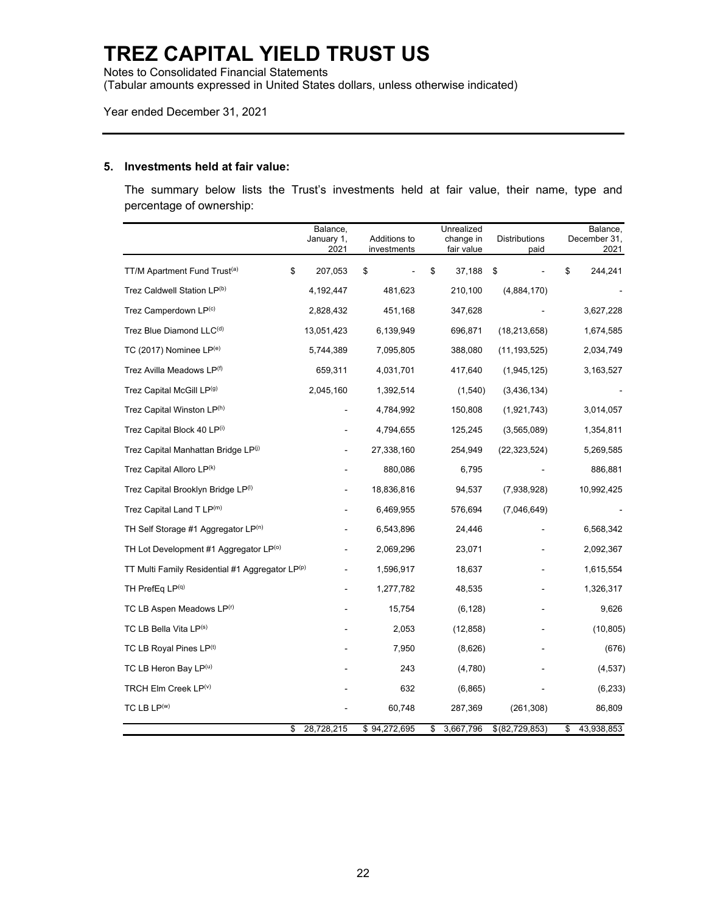Notes to Consolidated Financial Statements

(Tabular amounts expressed in United States dollars, unless otherwise indicated)

Year ended December 31, 2021

#### **5. Investments held at fair value:**

The summary below lists the Trust's investments held at fair value, their name, type and percentage of ownership:

|                                                 | Balance,<br>January 1,<br>2021 | Additions to<br>investments | Unrealized<br>change in<br>fair value | <b>Distributions</b><br>paid | Balance,<br>December 31,<br>2021 |
|-------------------------------------------------|--------------------------------|-----------------------------|---------------------------------------|------------------------------|----------------------------------|
| TT/M Apartment Fund Trust <sup>(a)</sup>        | \$<br>207,053                  | \$                          | \$<br>37,188                          | \$                           | \$<br>244,241                    |
| Trez Caldwell Station LP(b)                     | 4,192,447                      | 481,623                     | 210,100                               | (4,884,170)                  |                                  |
| Trez Camperdown LP(c)                           | 2,828,432                      | 451,168                     | 347,628                               |                              | 3,627,228                        |
| Trez Blue Diamond LLC <sup>(d)</sup>            | 13,051,423                     | 6,139,949                   | 696,871                               | (18, 213, 658)               | 1,674,585                        |
| TC (2017) Nominee $LP^{(e)}$                    | 5,744,389                      | 7,095,805                   | 388,080                               | (11, 193, 525)               | 2,034,749                        |
| Trez Avilla Meadows LP <sup>(f)</sup>           | 659,311                        | 4,031,701                   | 417,640                               | (1,945,125)                  | 3,163,527                        |
| Trez Capital McGill LP <sup>(g)</sup>           | 2,045,160                      | 1,392,514                   | (1,540)                               | (3,436,134)                  |                                  |
| Trez Capital Winston LP(h)                      |                                | 4,784,992                   | 150,808                               | (1,921,743)                  | 3,014,057                        |
| Trez Capital Block 40 LP(i)                     |                                | 4,794,655                   | 125,245                               | (3,565,089)                  | 1,354,811                        |
| Trez Capital Manhattan Bridge LP(i)             |                                | 27,338,160                  | 254,949                               | (22,323,524)                 | 5,269,585                        |
| Trez Capital Alloro LP <sup>(k)</sup>           |                                | 880,086                     | 6,795                                 |                              | 886,881                          |
| Trez Capital Brooklyn Bridge LP(1)              |                                | 18,836,816                  | 94,537                                | (7,938,928)                  | 10,992,425                       |
| Trez Capital Land T LP(m)                       |                                | 6,469,955                   | 576,694                               | (7,046,649)                  |                                  |
| TH Self Storage #1 Aggregator LP(n)             |                                | 6,543,896                   | 24,446                                |                              | 6,568,342                        |
| TH Lot Development #1 Aggregator LP(o)          |                                | 2,069,296                   | 23,071                                |                              | 2,092,367                        |
| TT Multi Family Residential #1 Aggregator LP(p) |                                | 1,596,917                   | 18,637                                |                              | 1,615,554                        |
| TH PrefEq $LP(q)$                               |                                | 1,277,782                   | 48,535                                |                              | 1,326,317                        |
| TC LB Aspen Meadows LP(r)                       |                                | 15,754                      | (6, 128)                              |                              | 9,626                            |
| TC LB Bella Vita LP(s)                          |                                | 2,053                       | (12,858)                              |                              | (10, 805)                        |
| TC LB Royal Pines LP <sup>(t)</sup>             |                                | 7,950                       | (8,626)                               |                              | (676)                            |
| TC LB Heron Bay $LP(u)$                         |                                | 243                         | (4,780)                               |                              | (4, 537)                         |
| TRCH Elm Creek LP(v)                            |                                | 632                         | (6, 865)                              |                              | (6,233)                          |
| TC LB $LP(w)$                                   |                                | 60,748                      | 287,369                               | (261, 308)                   | 86,809                           |
|                                                 | \$<br>28,728,215               | \$94,272,695                | 3,667,796<br>\$                       | \$ (82, 729, 853)            | \$<br>43,938,853                 |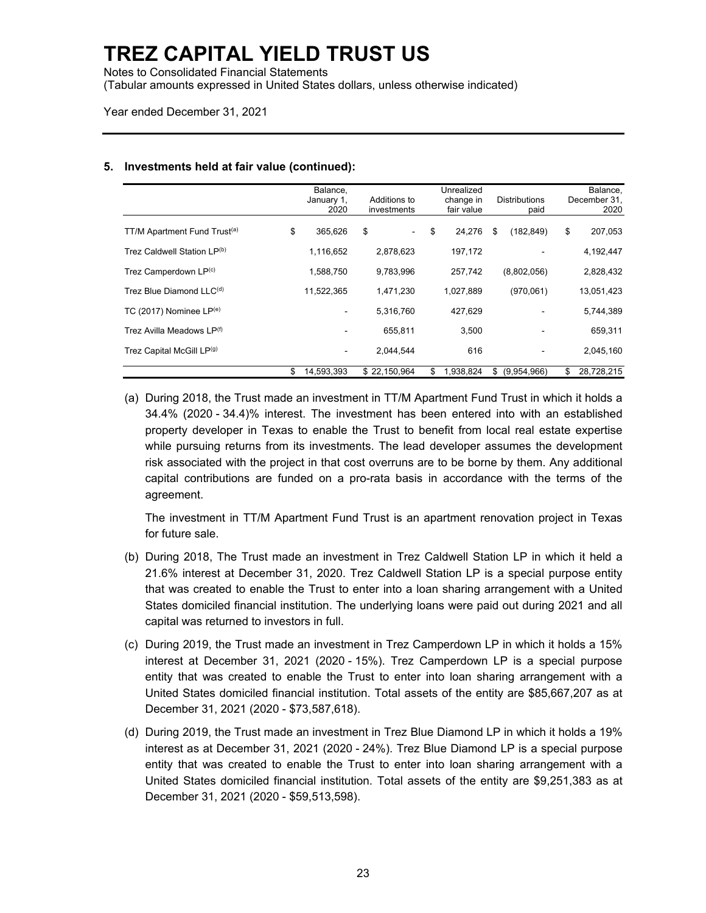Notes to Consolidated Financial Statements

(Tabular amounts expressed in United States dollars, unless otherwise indicated)

Year ended December 31, 2021

|                                          | Balance.<br>January 1,<br>2020 | Additions to<br>investments    | Unrealized<br>change in<br>fair value | <b>Distributions</b><br>paid | Balance,<br>December 31,<br>2020 |
|------------------------------------------|--------------------------------|--------------------------------|---------------------------------------|------------------------------|----------------------------------|
| TT/M Apartment Fund Trust <sup>(a)</sup> | \$<br>365.626                  | \$<br>$\overline{\phantom{0}}$ | \$<br>24,276                          | (182, 849)<br>\$             | \$<br>207,053                    |
| Trez Caldwell Station LP(b)              | 1,116,652                      | 2,878,623                      | 197,172                               |                              | 4,192,447                        |
| Trez Camperdown LP <sup>(c)</sup>        | 1,588,750                      | 9,783,996                      | 257.742                               | (8,802,056)                  | 2,828,432                        |
| Trez Blue Diamond LLC <sup>(d)</sup>     | 11,522,365                     | 1,471,230                      | 1,027,889                             | (970,061)                    | 13,051,423                       |
| TC (2017) Nominee $LP(e)$                | $\blacksquare$                 | 5,316,760                      | 427.629                               |                              | 5,744,389                        |
| Trez Avilla Meadows LP <sup>(f)</sup>    | $\blacksquare$                 | 655.811                        | 3.500                                 |                              | 659,311                          |
| Trez Capital McGill LP(9)                | $\qquad \qquad \blacksquare$   | 2,044,544                      | 616                                   | -                            | 2,045,160                        |
|                                          | \$<br>14.593.393               | \$22.150.964                   | \$<br>1.938.824                       | \$<br>(9,954,966)            | \$<br>28.728.215                 |

#### **5. Investments held at fair value (continued):**

(a) During 2018, the Trust made an investment in TT/M Apartment Fund Trust in which it holds a 34.4% (2020 - 34.4)% interest. The investment has been entered into with an established property developer in Texas to enable the Trust to benefit from local real estate expertise while pursuing returns from its investments. The lead developer assumes the development risk associated with the project in that cost overruns are to be borne by them. Any additional capital contributions are funded on a pro-rata basis in accordance with the terms of the agreement.

The investment in TT/M Apartment Fund Trust is an apartment renovation project in Texas for future sale.

- (b) During 2018, The Trust made an investment in Trez Caldwell Station LP in which it held a 21.6% interest at December 31, 2020. Trez Caldwell Station LP is a special purpose entity that was created to enable the Trust to enter into a loan sharing arrangement with a United States domiciled financial institution. The underlying loans were paid out during 2021 and all capital was returned to investors in full.
- (c) During 2019, the Trust made an investment in Trez Camperdown LP in which it holds a 15% interest at December 31, 2021 (2020 - 15%). Trez Camperdown LP is a special purpose entity that was created to enable the Trust to enter into loan sharing arrangement with a United States domiciled financial institution. Total assets of the entity are \$85,667,207 as at December 31, 2021 (2020 - \$73,587,618).
- (d) During 2019, the Trust made an investment in Trez Blue Diamond LP in which it holds a 19% interest as at December 31, 2021 (2020 - 24%). Trez Blue Diamond LP is a special purpose entity that was created to enable the Trust to enter into loan sharing arrangement with a United States domiciled financial institution. Total assets of the entity are \$9,251,383 as at December 31, 2021 (2020 - \$59,513,598).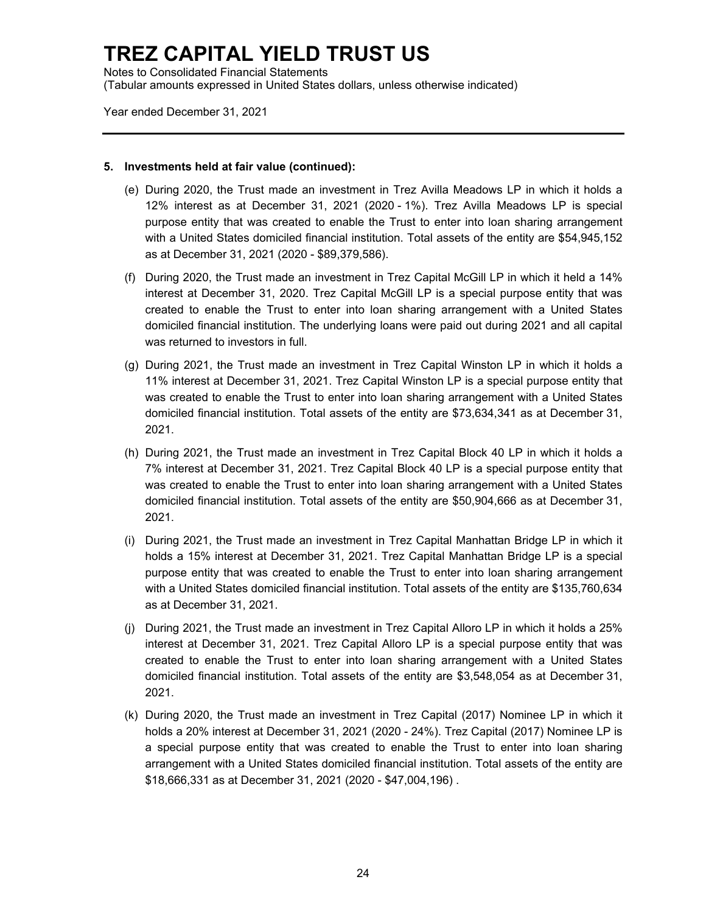Notes to Consolidated Financial Statements (Tabular amounts expressed in United States dollars, unless otherwise indicated)

Year ended December 31, 2021

#### **5. Investments held at fair value (continued):**

- (e) During 2020, the Trust made an investment in Trez Avilla Meadows LP in which it holds a 12% interest as at December 31, 2021 (2020 - 1%). Trez Avilla Meadows LP is special purpose entity that was created to enable the Trust to enter into loan sharing arrangement with a United States domiciled financial institution. Total assets of the entity are \$54,945,152 as at December 31, 2021 (2020 - \$89,379,586).
- (f) During 2020, the Trust made an investment in Trez Capital McGill LP in which it held a 14% interest at December 31, 2020. Trez Capital McGill LP is a special purpose entity that was created to enable the Trust to enter into loan sharing arrangement with a United States domiciled financial institution. The underlying loans were paid out during 2021 and all capital was returned to investors in full.
- (g) During 2021, the Trust made an investment in Trez Capital Winston LP in which it holds a 11% interest at December 31, 2021. Trez Capital Winston LP is a special purpose entity that was created to enable the Trust to enter into loan sharing arrangement with a United States domiciled financial institution. Total assets of the entity are \$73,634,341 as at December 31, 2021.
- (h) During 2021, the Trust made an investment in Trez Capital Block 40 LP in which it holds a 7% interest at December 31, 2021. Trez Capital Block 40 LP is a special purpose entity that was created to enable the Trust to enter into loan sharing arrangement with a United States domiciled financial institution. Total assets of the entity are \$50,904,666 as at December 31, 2021.
- (i) During 2021, the Trust made an investment in Trez Capital Manhattan Bridge LP in which it holds a 15% interest at December 31, 2021. Trez Capital Manhattan Bridge LP is a special purpose entity that was created to enable the Trust to enter into loan sharing arrangement with a United States domiciled financial institution. Total assets of the entity are \$135,760,634 as at December 31, 2021.
- (j) During 2021, the Trust made an investment in Trez Capital Alloro LP in which it holds a 25% interest at December 31, 2021. Trez Capital Alloro LP is a special purpose entity that was created to enable the Trust to enter into loan sharing arrangement with a United States domiciled financial institution. Total assets of the entity are \$3,548,054 as at December 31, 2021.
- (k) During 2020, the Trust made an investment in Trez Capital (2017) Nominee LP in which it holds a 20% interest at December 31, 2021 (2020 - 24%). Trez Capital (2017) Nominee LP is a special purpose entity that was created to enable the Trust to enter into loan sharing arrangement with a United States domiciled financial institution. Total assets of the entity are \$18,666,331 as at December 31, 2021 (2020 - \$47,004,196) .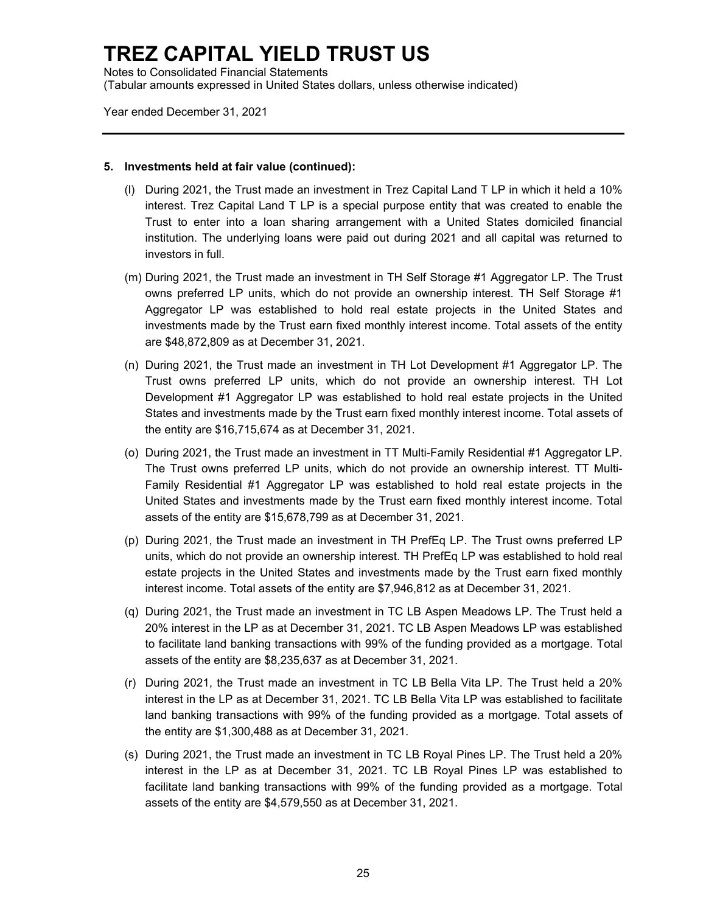Notes to Consolidated Financial Statements (Tabular amounts expressed in United States dollars, unless otherwise indicated)

Year ended December 31, 2021

#### **5. Investments held at fair value (continued):**

- (l) During 2021, the Trust made an investment in Trez Capital Land T LP in which it held a 10% interest. Trez Capital Land T LP is a special purpose entity that was created to enable the Trust to enter into a loan sharing arrangement with a United States domiciled financial institution. The underlying loans were paid out during 2021 and all capital was returned to investors in full.
- (m) During 2021, the Trust made an investment in TH Self Storage #1 Aggregator LP. The Trust owns preferred LP units, which do not provide an ownership interest. TH Self Storage #1 Aggregator LP was established to hold real estate projects in the United States and investments made by the Trust earn fixed monthly interest income. Total assets of the entity are \$48,872,809 as at December 31, 2021.
- (n) During 2021, the Trust made an investment in TH Lot Development #1 Aggregator LP. The Trust owns preferred LP units, which do not provide an ownership interest. TH Lot Development #1 Aggregator LP was established to hold real estate projects in the United States and investments made by the Trust earn fixed monthly interest income. Total assets of the entity are \$16,715,674 as at December 31, 2021.
- (o) During 2021, the Trust made an investment in TT Multi-Family Residential #1 Aggregator LP. The Trust owns preferred LP units, which do not provide an ownership interest. TT Multi-Family Residential #1 Aggregator LP was established to hold real estate projects in the United States and investments made by the Trust earn fixed monthly interest income. Total assets of the entity are \$15,678,799 as at December 31, 2021.
- (p) During 2021, the Trust made an investment in TH PrefEq LP. The Trust owns preferred LP units, which do not provide an ownership interest. TH PrefEq LP was established to hold real estate projects in the United States and investments made by the Trust earn fixed monthly interest income. Total assets of the entity are \$7,946,812 as at December 31, 2021.
- (q) During 2021, the Trust made an investment in TC LB Aspen Meadows LP. The Trust held a 20% interest in the LP as at December 31, 2021. TC LB Aspen Meadows LP was established to facilitate land banking transactions with 99% of the funding provided as a mortgage. Total assets of the entity are \$8,235,637 as at December 31, 2021.
- (r) During 2021, the Trust made an investment in TC LB Bella Vita LP. The Trust held a 20% interest in the LP as at December 31, 2021. TC LB Bella Vita LP was established to facilitate land banking transactions with 99% of the funding provided as a mortgage. Total assets of the entity are \$1,300,488 as at December 31, 2021.
- (s) During 2021, the Trust made an investment in TC LB Royal Pines LP. The Trust held a 20% interest in the LP as at December 31, 2021. TC LB Royal Pines LP was established to facilitate land banking transactions with 99% of the funding provided as a mortgage. Total assets of the entity are \$4,579,550 as at December 31, 2021.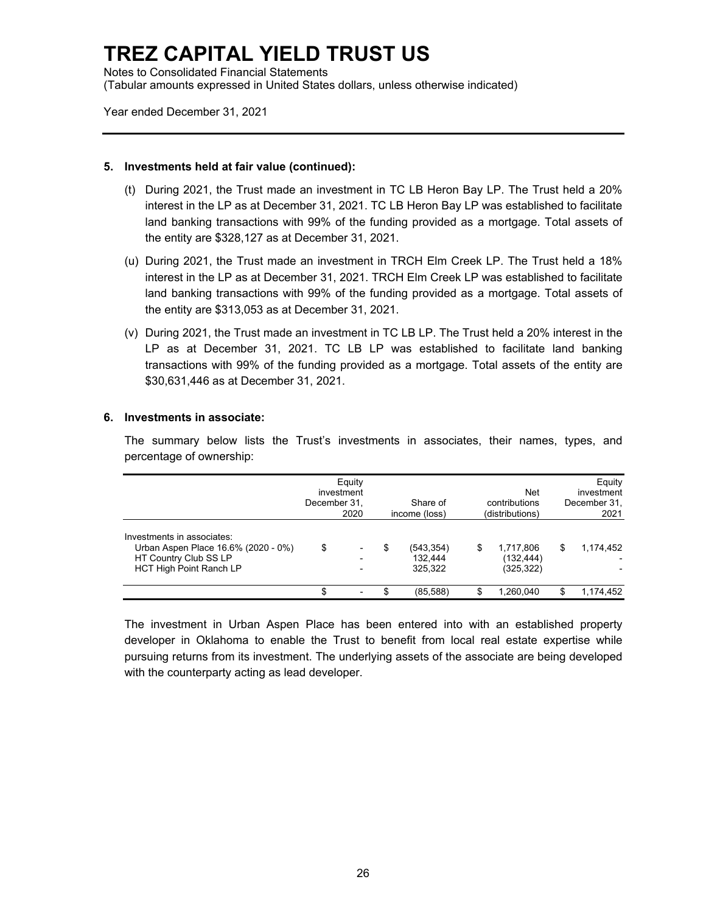Notes to Consolidated Financial Statements (Tabular amounts expressed in United States dollars, unless otherwise indicated)

Year ended December 31, 2021

#### **5. Investments held at fair value (continued):**

- (t) During 2021, the Trust made an investment in TC LB Heron Bay LP. The Trust held a 20% interest in the LP as at December 31, 2021. TC LB Heron Bay LP was established to facilitate land banking transactions with 99% of the funding provided as a mortgage. Total assets of the entity are \$328,127 as at December 31, 2021.
- (u) During 2021, the Trust made an investment in TRCH Elm Creek LP. The Trust held a 18% interest in the LP as at December 31, 2021. TRCH Elm Creek LP was established to facilitate land banking transactions with 99% of the funding provided as a mortgage. Total assets of the entity are \$313,053 as at December 31, 2021.
- (v) During 2021, the Trust made an investment in TC LB LP. The Trust held a 20% interest in the LP as at December 31, 2021. TC LB LP was established to facilitate land banking transactions with 99% of the funding provided as a mortgage. Total assets of the entity are \$30,631,446 as at December 31, 2021.

#### **6. Investments in associate:**

The summary below lists the Trust's investments in associates, their names, types, and percentage of ownership:

|                                                                                                                              | December 31. | Equity<br>investment<br>2020 |   | Share of<br>income (loss)        |   | <b>Net</b><br>contributions<br>(distributions) |   | Equity<br>investment<br>December 31,<br>2021 |
|------------------------------------------------------------------------------------------------------------------------------|--------------|------------------------------|---|----------------------------------|---|------------------------------------------------|---|----------------------------------------------|
| Investments in associates:<br>Urban Aspen Place 16.6% (2020 - 0%)<br>HT Country Club SS LP<br><b>HCT High Point Ranch LP</b> | \$           |                              | S | (543, 354)<br>132.444<br>325.322 | S | 1,717,806<br>(132, 444)<br>(325, 322)          | S | 1,174,452                                    |
|                                                                                                                              |              |                              |   | (85, 588)                        |   | 1.260.040                                      |   | 1,174,452                                    |

The investment in Urban Aspen Place has been entered into with an established property developer in Oklahoma to enable the Trust to benefit from local real estate expertise while pursuing returns from its investment. The underlying assets of the associate are being developed with the counterparty acting as lead developer.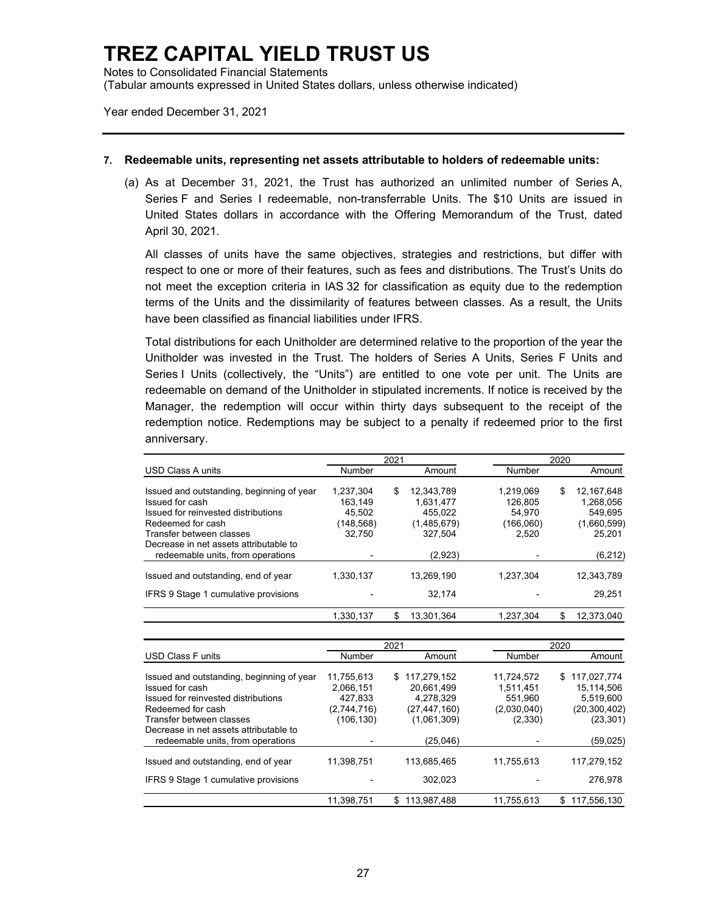Notes to Consolidated Financial Statements (Tabular amounts expressed in United States dollars, unless otherwise indicated)

Year ended December 31, 2021

#### **7. Redeemable units, representing net assets attributable to holders of redeemable units:**

(a) As at December 31, 2021, the Trust has authorized an unlimited number of Series A, Series F and Series I redeemable, non-transferrable Units. The \$10 Units are issued in United States dollars in accordance with the Offering Memorandum of the Trust, dated April 30, 2021.

All classes of units have the same objectives, strategies and restrictions, but differ with respect to one or more of their features, such as fees and distributions. The Trust's Units do not meet the exception criteria in IAS 32 for classification as equity due to the redemption terms of the Units and the dissimilarity of features between classes. As a result, the Units have been classified as financial liabilities under IFRS.

Total distributions for each Unitholder are determined relative to the proportion of the year the Unitholder was invested in the Trust. The holders of Series A Units, Series F Units and Series I Units (collectively, the "Units") are entitled to one vote per unit. The Units are redeemable on demand of the Unitholder in stipulated increments. If notice is received by the Manager, the redemption will occur within thirty days subsequent to the receipt of the redemption notice. Redemptions may be subject to a penalty if redeemed prior to the first anniversary.

|                                           |           | 2021 |             | 2020      |    |             |  |
|-------------------------------------------|-----------|------|-------------|-----------|----|-------------|--|
| <b>USD Class A units</b>                  | Number    |      | Amount      | Number    |    | Amount      |  |
| Issued and outstanding, beginning of year | 1.237.304 | \$   | 12.343.789  | 1.219.069 | \$ | 12.167.648  |  |
| Issued for cash                           | 163.149   |      | 1.631.477   | 126.805   |    | 1,268,056   |  |
| Issued for reinvested distributions       | 45.502    |      | 455.022     | 54.970    |    | 549.695     |  |
| Redeemed for cash                         | (148,568) |      | (1,485,679) | (166,060) |    | (1,660,599) |  |
| Transfer between classes                  | 32.750    |      | 327.504     | 2.520     |    | 25.201      |  |
| Decrease in net assets attributable to    |           |      |             |           |    |             |  |
| redeemable units, from operations         |           |      | (2,923)     |           |    | (6, 212)    |  |
| Issued and outstanding, end of year       | 1,330,137 |      | 13.269.190  | 1.237.304 |    | 12,343,789  |  |
| IFRS 9 Stage 1 cumulative provisions      |           |      | 32.174      |           |    | 29.251      |  |
|                                           | 1.330.137 | S    | 13.301.364  | 1.237.304 | \$ | 12.373.040  |  |

|                                                                    |                         | 2021                             |                         | 2020                            |
|--------------------------------------------------------------------|-------------------------|----------------------------------|-------------------------|---------------------------------|
| <b>USD Class Funits</b>                                            | Number                  | Amount                           | Number                  | Amount                          |
| Issued and outstanding, beginning of year<br>Issued for cash       | 11.755.613<br>2,066,151 | 117.279.152<br>\$.<br>20,661,499 | 11.724.572<br>1,511,451 | 117.027.774<br>S.<br>15,114,506 |
| Issued for reinvested distributions<br>Redeemed for cash           | 427.833<br>(2,744,716)  | 4,278,329<br>(27, 447, 160)      | 551.960<br>(2,030,040)  | 5.519.600<br>(20, 300, 402)     |
| Transfer between classes<br>Decrease in net assets attributable to | (106,130)               | (1,061,309)                      | (2,330)                 | (23, 301)                       |
| redeemable units, from operations                                  |                         | (25,046)                         |                         | (59,025)                        |
| Issued and outstanding, end of year                                | 11,398,751              | 113,685,465                      | 11,755,613              | 117,279,152                     |
| IFRS 9 Stage 1 cumulative provisions                               |                         | 302.023                          |                         | 276.978                         |
|                                                                    | 11,398,751              | 113,987,488<br>\$.               | 11,755,613              | 117,556,130<br>S                |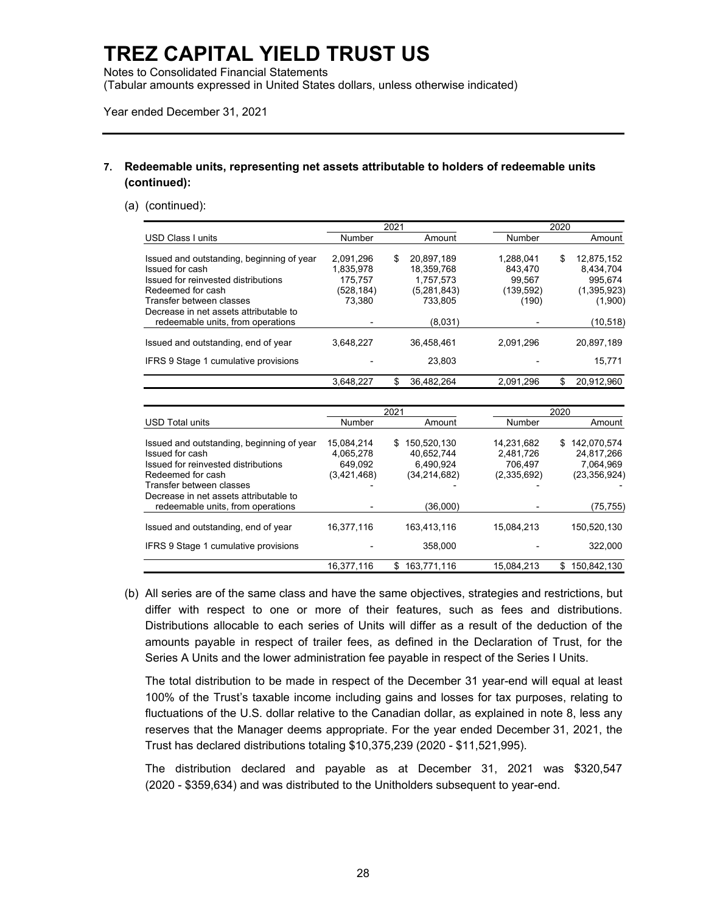Notes to Consolidated Financial Statements

(Tabular amounts expressed in United States dollars, unless otherwise indicated)

Year ended December 31, 2021

### **7. Redeemable units, representing net assets attributable to holders of redeemable units (continued):**

#### (a) (continued):

|                                                                                      |                                | 2021 |                                     | 2020                         |    |                                   |  |
|--------------------------------------------------------------------------------------|--------------------------------|------|-------------------------------------|------------------------------|----|-----------------------------------|--|
| <b>USD Class I units</b>                                                             | Number                         |      | Amount                              | Number                       |    | Amount                            |  |
| Issued and outstanding, beginning of year<br>Issued for cash                         | 2.091.296<br>1,835,978         | \$   | 20.897.189<br>18,359,768            | 1.288.041<br>843.470         | \$ | 12.875.152<br>8.434.704           |  |
| Issued for reinvested distributions<br>Redeemed for cash<br>Transfer between classes | 175.757<br>(528,184)<br>73.380 |      | 1,757,573<br>(5,281,843)<br>733.805 | 99.567<br>(139,592)<br>(190) |    | 995.674<br>(1,395,923)<br>(1,900) |  |
| Decrease in net assets attributable to<br>redeemable units, from operations          |                                |      | (8,031)                             |                              |    | (10, 518)                         |  |
| Issued and outstanding, end of year                                                  | 3.648.227                      |      | 36.458.461                          | 2,091,296                    |    | 20.897.189                        |  |
| IFRS 9 Stage 1 cumulative provisions                                                 |                                |      | 23.803                              |                              |    | 15.771                            |  |
|                                                                                      | 3,648,227                      |      | 36,482,264                          | 2,091,296                    |    | 20,912,960                        |  |

|                                           |             | 2021              | 2020        |                    |  |
|-------------------------------------------|-------------|-------------------|-------------|--------------------|--|
| <b>USD Total units</b>                    | Number      | Amount            | Number      | Amount             |  |
| Issued and outstanding, beginning of year | 15.084.214  | 150.520.130<br>S. | 14.231.682  | 142.070.574<br>S.  |  |
| Issued for cash                           | 4,065,278   | 40.652.744        | 2.481.726   | 24.817.266         |  |
| Issued for reinvested distributions       | 649.092     | 6.490.924         | 706.497     | 7.064.969          |  |
| Redeemed for cash                         | (3,421,468) | (34, 214, 682)    | (2,335,692) | (23, 356, 924)     |  |
| Transfer between classes                  |             |                   |             |                    |  |
| Decrease in net assets attributable to    |             |                   |             |                    |  |
| redeemable units, from operations         |             | (36,000)          |             | (75,755)           |  |
| Issued and outstanding, end of year       | 16,377,116  | 163.413.116       | 15,084,213  | 150,520,130        |  |
| IFRS 9 Stage 1 cumulative provisions      |             | 358,000           |             | 322,000            |  |
|                                           | 16,377,116  | 163.771.116<br>\$ | 15,084,213  | 150.842.130<br>\$. |  |

(b) All series are of the same class and have the same objectives, strategies and restrictions, but differ with respect to one or more of their features, such as fees and distributions. Distributions allocable to each series of Units will differ as a result of the deduction of the amounts payable in respect of trailer fees, as defined in the Declaration of Trust, for the Series A Units and the lower administration fee payable in respect of the Series I Units.

The total distribution to be made in respect of the December 31 year-end will equal at least 100% of the Trust's taxable income including gains and losses for tax purposes, relating to fluctuations of the U.S. dollar relative to the Canadian dollar, as explained in note 8, less any reserves that the Manager deems appropriate. For the year ended December 31, 2021, the Trust has declared distributions totaling \$10,375,239 (2020 - \$11,521,995).

The distribution declared and payable as at December 31, 2021 was \$320,547 (2020 - \$359,634) and was distributed to the Unitholders subsequent to year-end.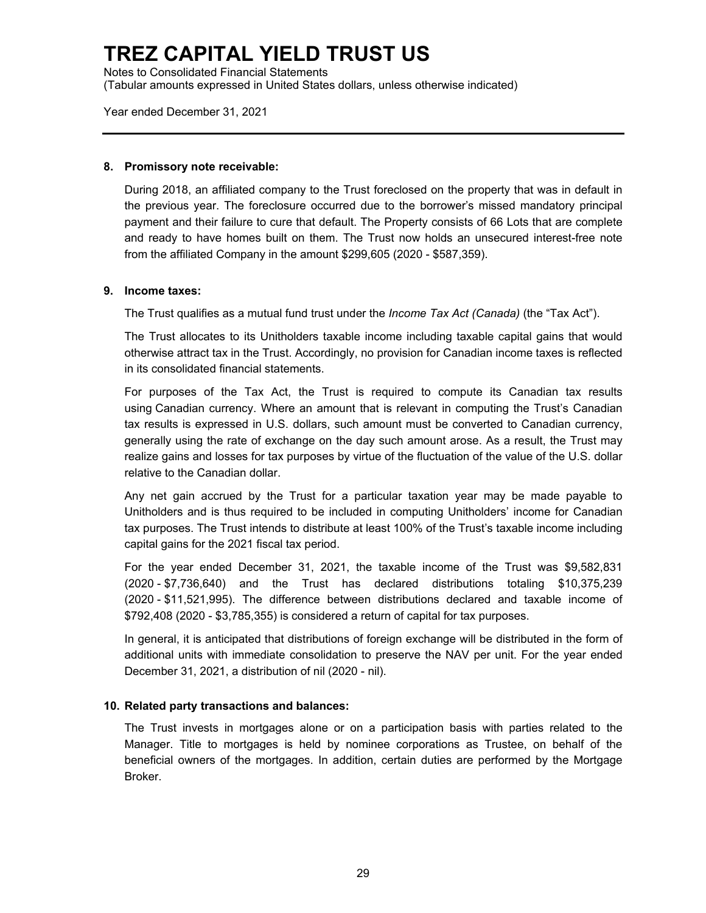Notes to Consolidated Financial Statements (Tabular amounts expressed in United States dollars, unless otherwise indicated)

Year ended December 31, 2021

#### **8. Promissory note receivable:**

During 2018, an affiliated company to the Trust foreclosed on the property that was in default in the previous year. The foreclosure occurred due to the borrower's missed mandatory principal payment and their failure to cure that default. The Property consists of 66 Lots that are complete and ready to have homes built on them. The Trust now holds an unsecured interest-free note from the affiliated Company in the amount \$299,605 (2020 - \$587,359).

#### **9. Income taxes:**

The Trust qualifies as a mutual fund trust under the *Income Tax Act (Canada)* (the "Tax Act").

The Trust allocates to its Unitholders taxable income including taxable capital gains that would otherwise attract tax in the Trust. Accordingly, no provision for Canadian income taxes is reflected in its consolidated financial statements.

For purposes of the Tax Act, the Trust is required to compute its Canadian tax results using Canadian currency. Where an amount that is relevant in computing the Trust's Canadian tax results is expressed in U.S. dollars, such amount must be converted to Canadian currency, generally using the rate of exchange on the day such amount arose. As a result, the Trust may realize gains and losses for tax purposes by virtue of the fluctuation of the value of the U.S. dollar relative to the Canadian dollar.

Any net gain accrued by the Trust for a particular taxation year may be made payable to Unitholders and is thus required to be included in computing Unitholders' income for Canadian tax purposes. The Trust intends to distribute at least 100% of the Trust's taxable income including capital gains for the 2021 fiscal tax period.

For the year ended December 31, 2021, the taxable income of the Trust was \$9,582,831 (2020 - \$7,736,640) and the Trust has declared distributions totaling \$10,375,239 (2020 - \$11,521,995). The difference between distributions declared and taxable income of \$792,408 (2020 - \$3,785,355) is considered a return of capital for tax purposes.

In general, it is anticipated that distributions of foreign exchange will be distributed in the form of additional units with immediate consolidation to preserve the NAV per unit. For the year ended December 31, 2021, a distribution of nil (2020 - nil).

### **10. Related party transactions and balances:**

The Trust invests in mortgages alone or on a participation basis with parties related to the Manager. Title to mortgages is held by nominee corporations as Trustee, on behalf of the beneficial owners of the mortgages. In addition, certain duties are performed by the Mortgage Broker.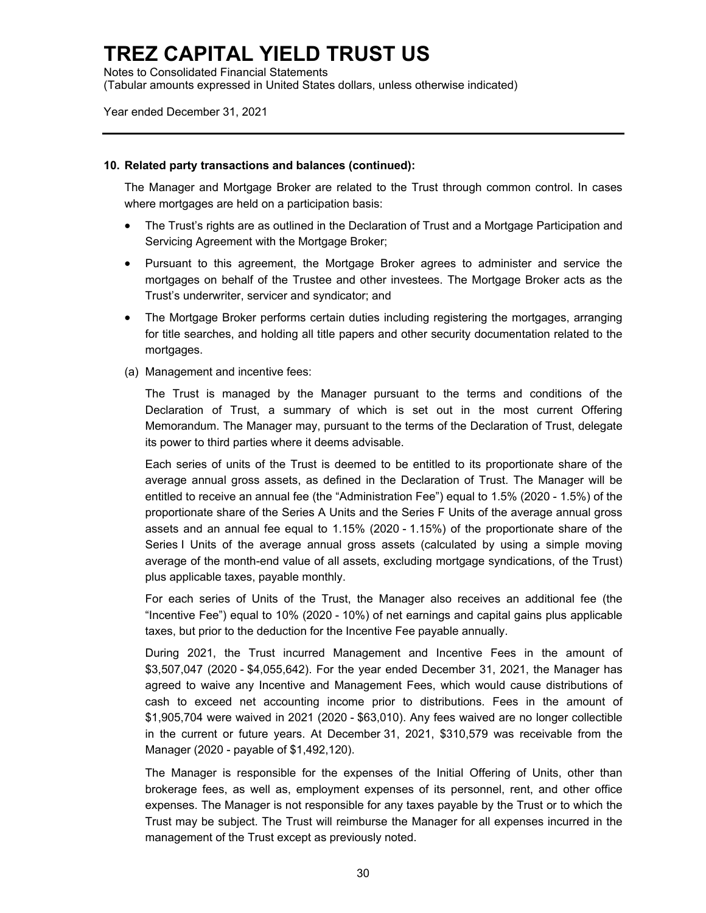Notes to Consolidated Financial Statements (Tabular amounts expressed in United States dollars, unless otherwise indicated)

Year ended December 31, 2021

#### **10. Related party transactions and balances (continued):**

The Manager and Mortgage Broker are related to the Trust through common control. In cases where mortgages are held on a participation basis:

- The Trust's rights are as outlined in the Declaration of Trust and a Mortgage Participation and Servicing Agreement with the Mortgage Broker;
- Pursuant to this agreement, the Mortgage Broker agrees to administer and service the mortgages on behalf of the Trustee and other investees. The Mortgage Broker acts as the Trust's underwriter, servicer and syndicator; and
- The Mortgage Broker performs certain duties including registering the mortgages, arranging for title searches, and holding all title papers and other security documentation related to the mortgages.
- (a) Management and incentive fees:

The Trust is managed by the Manager pursuant to the terms and conditions of the Declaration of Trust, a summary of which is set out in the most current Offering Memorandum. The Manager may, pursuant to the terms of the Declaration of Trust, delegate its power to third parties where it deems advisable.

Each series of units of the Trust is deemed to be entitled to its proportionate share of the average annual gross assets, as defined in the Declaration of Trust. The Manager will be entitled to receive an annual fee (the "Administration Fee") equal to 1.5% (2020 - 1.5%) of the proportionate share of the Series A Units and the Series F Units of the average annual gross assets and an annual fee equal to 1.15% (2020 - 1.15%) of the proportionate share of the Series I Units of the average annual gross assets (calculated by using a simple moving average of the month-end value of all assets, excluding mortgage syndications, of the Trust) plus applicable taxes, payable monthly.

For each series of Units of the Trust, the Manager also receives an additional fee (the "Incentive Fee") equal to 10% (2020 - 10%) of net earnings and capital gains plus applicable taxes, but prior to the deduction for the Incentive Fee payable annually.

During 2021, the Trust incurred Management and Incentive Fees in the amount of \$3,507,047 (2020 - \$4,055,642). For the year ended December 31, 2021, the Manager has agreed to waive any Incentive and Management Fees, which would cause distributions of cash to exceed net accounting income prior to distributions. Fees in the amount of \$1,905,704 were waived in 2021 (2020 - \$63,010). Any fees waived are no longer collectible in the current or future years. At December 31, 2021, \$310,579 was receivable from the Manager (2020 - payable of \$1,492,120).

The Manager is responsible for the expenses of the Initial Offering of Units, other than brokerage fees, as well as, employment expenses of its personnel, rent, and other office expenses. The Manager is not responsible for any taxes payable by the Trust or to which the Trust may be subject. The Trust will reimburse the Manager for all expenses incurred in the management of the Trust except as previously noted.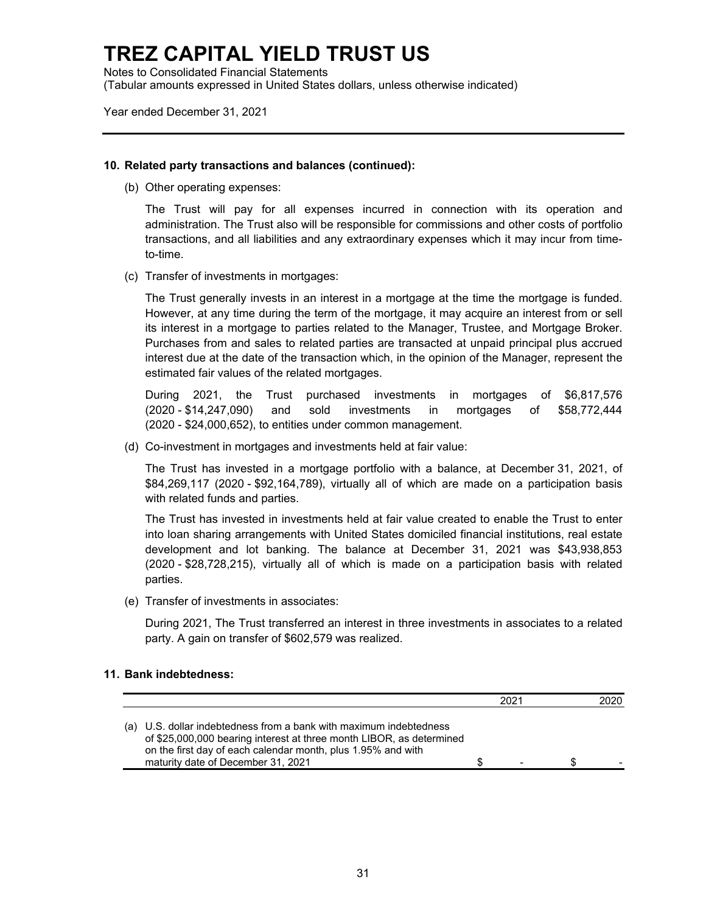Notes to Consolidated Financial Statements (Tabular amounts expressed in United States dollars, unless otherwise indicated)

Year ended December 31, 2021

#### **10. Related party transactions and balances (continued):**

(b) Other operating expenses:

The Trust will pay for all expenses incurred in connection with its operation and administration. The Trust also will be responsible for commissions and other costs of portfolio transactions, and all liabilities and any extraordinary expenses which it may incur from timeto-time.

(c) Transfer of investments in mortgages:

The Trust generally invests in an interest in a mortgage at the time the mortgage is funded. However, at any time during the term of the mortgage, it may acquire an interest from or sell its interest in a mortgage to parties related to the Manager, Trustee, and Mortgage Broker. Purchases from and sales to related parties are transacted at unpaid principal plus accrued interest due at the date of the transaction which, in the opinion of the Manager, represent the estimated fair values of the related mortgages.

During 2021, the Trust purchased investments in mortgages of \$6,817,576 (2020 - \$14,247,090) and sold investments in mortgages of \$58,772,444 (2020 - \$24,000,652), to entities under common management.

(d) Co-investment in mortgages and investments held at fair value:

The Trust has invested in a mortgage portfolio with a balance, at December 31, 2021, of \$84,269,117 (2020 - \$92,164,789), virtually all of which are made on a participation basis with related funds and parties.

The Trust has invested in investments held at fair value created to enable the Trust to enter into loan sharing arrangements with United States domiciled financial institutions, real estate development and lot banking. The balance at December 31, 2021 was \$43,938,853 (2020 - \$28,728,215), virtually all of which is made on a participation basis with related parties.

(e) Transfer of investments in associates:

During 2021, The Trust transferred an interest in three investments in associates to a related party. A gain on transfer of \$602,579 was realized.

### **11. Bank indebtedness:**

|                                                                                                                                                                                                                                                  | 2021 | 2020 |
|--------------------------------------------------------------------------------------------------------------------------------------------------------------------------------------------------------------------------------------------------|------|------|
| (a) U.S. dollar indebtedness from a bank with maximum indebtedness<br>of \$25,000,000 bearing interest at three month LIBOR, as determined<br>on the first day of each calendar month, plus 1.95% and with<br>maturity date of December 31, 2021 |      |      |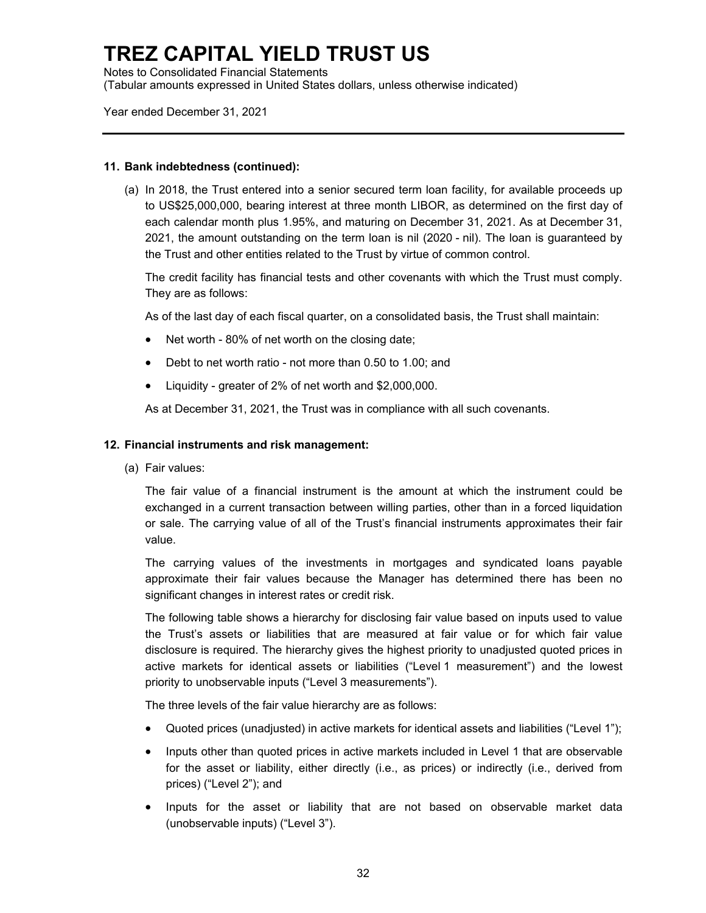Notes to Consolidated Financial Statements (Tabular amounts expressed in United States dollars, unless otherwise indicated)

Year ended December 31, 2021

#### **11. Bank indebtedness (continued):**

(a) In 2018, the Trust entered into a senior secured term loan facility, for available proceeds up to US\$25,000,000, bearing interest at three month LIBOR, as determined on the first day of each calendar month plus 1.95%, and maturing on December 31, 2021. As at December 31, 2021, the amount outstanding on the term loan is nil (2020 - nil). The loan is guaranteed by the Trust and other entities related to the Trust by virtue of common control.

The credit facility has financial tests and other covenants with which the Trust must comply. They are as follows:

As of the last day of each fiscal quarter, on a consolidated basis, the Trust shall maintain:

- Net worth 80% of net worth on the closing date;
- Debt to net worth ratio not more than 0.50 to 1.00; and
- Liquidity greater of 2% of net worth and \$2,000,000.

As at December 31, 2021, the Trust was in compliance with all such covenants.

### **12. Financial instruments and risk management:**

(a) Fair values:

The fair value of a financial instrument is the amount at which the instrument could be exchanged in a current transaction between willing parties, other than in a forced liquidation or sale. The carrying value of all of the Trust's financial instruments approximates their fair value.

The carrying values of the investments in mortgages and syndicated loans payable approximate their fair values because the Manager has determined there has been no significant changes in interest rates or credit risk.

The following table shows a hierarchy for disclosing fair value based on inputs used to value the Trust's assets or liabilities that are measured at fair value or for which fair value disclosure is required. The hierarchy gives the highest priority to unadjusted quoted prices in active markets for identical assets or liabilities ("Level 1 measurement") and the lowest priority to unobservable inputs ("Level 3 measurements").

The three levels of the fair value hierarchy are as follows:

- Quoted prices (unadjusted) in active markets for identical assets and liabilities ("Level 1");
- Inputs other than quoted prices in active markets included in Level 1 that are observable for the asset or liability, either directly (i.e., as prices) or indirectly (i.e., derived from prices) ("Level 2"); and
- Inputs for the asset or liability that are not based on observable market data (unobservable inputs) ("Level 3").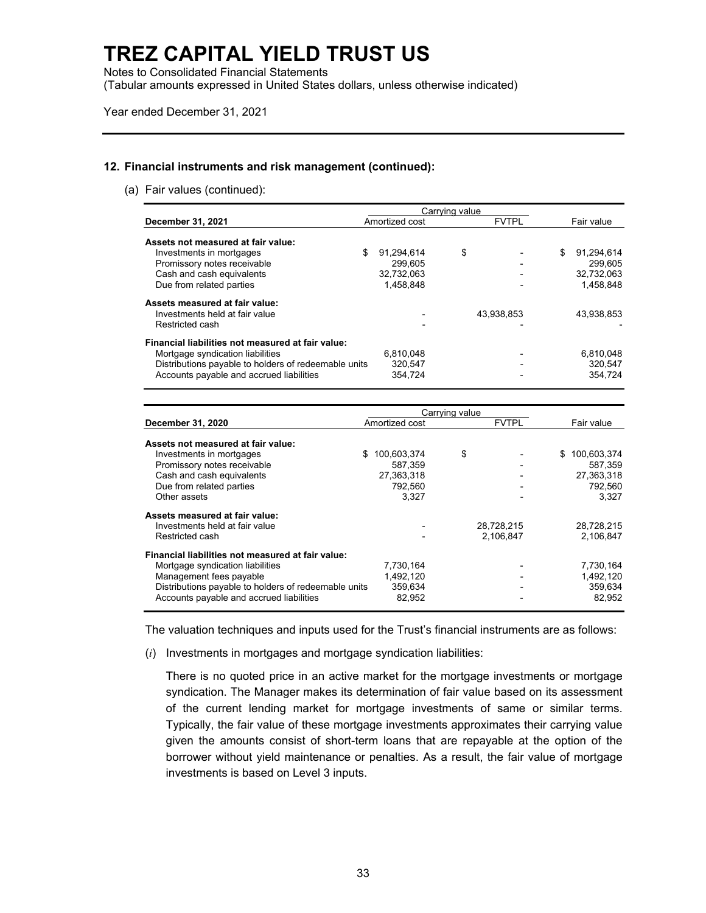Notes to Consolidated Financial Statements

(Tabular amounts expressed in United States dollars, unless otherwise indicated)

Year ended December 31, 2021

#### **12. Financial instruments and risk management (continued):**

(a) Fair values (continued):

|                                                      | Carrying value |                |    |              |            |            |
|------------------------------------------------------|----------------|----------------|----|--------------|------------|------------|
| December 31, 2021                                    |                | Amortized cost |    | <b>FVTPL</b> | Fair value |            |
| Assets not measured at fair value:                   |                |                |    |              |            |            |
| Investments in mortgages                             | \$             | 91,294,614     | \$ |              | S.         | 91,294,614 |
| Promissory notes receivable                          |                | 299,605        |    |              |            | 299.605    |
| Cash and cash equivalents                            |                | 32.732.063     |    |              |            | 32,732,063 |
| Due from related parties                             |                | 1.458.848      |    |              |            | 1.458.848  |
| Assets measured at fair value:                       |                |                |    |              |            |            |
| Investments held at fair value                       |                |                |    | 43,938,853   |            | 43.938.853 |
| Restricted cash                                      |                |                |    |              |            |            |
| Financial liabilities not measured at fair value:    |                |                |    |              |            |            |
| Mortgage syndication liabilities                     |                | 6.810.048      |    |              |            | 6,810,048  |
| Distributions payable to holders of redeemable units |                | 320.547        |    |              |            | 320,547    |
| Accounts payable and accrued liabilities             |                | 354.724        |    |              |            | 354.724    |

|                                                      | Carrying value   |    |              |    |             |  |
|------------------------------------------------------|------------------|----|--------------|----|-------------|--|
| December 31, 2020                                    | Amortized cost   |    | <b>FVTPL</b> |    | Fair value  |  |
| Assets not measured at fair value:                   |                  |    |              |    |             |  |
| Investments in mortgages                             | 100,603,374<br>S | \$ |              | S. | 100,603,374 |  |
| Promissory notes receivable                          | 587.359          |    |              |    | 587,359     |  |
| Cash and cash equivalents                            | 27,363,318       |    |              |    | 27,363,318  |  |
| Due from related parties                             | 792.560          |    |              |    | 792,560     |  |
| Other assets                                         | 3.327            |    |              |    | 3.327       |  |
| Assets measured at fair value:                       |                  |    |              |    |             |  |
| Investments held at fair value                       |                  |    | 28,728,215   |    | 28,728,215  |  |
| Restricted cash                                      |                  |    | 2,106,847    |    | 2,106,847   |  |
| Financial liabilities not measured at fair value:    |                  |    |              |    |             |  |
| Mortgage syndication liabilities                     | 7,730,164        |    |              |    | 7,730,164   |  |
| Management fees payable                              | 1.492.120        |    |              |    | 1,492,120   |  |
| Distributions payable to holders of redeemable units | 359,634          |    |              |    | 359,634     |  |
| Accounts payable and accrued liabilities             | 82.952           |    |              |    | 82.952      |  |

The valuation techniques and inputs used for the Trust's financial instruments are as follows:

(*i*) Investments in mortgages and mortgage syndication liabilities:

There is no quoted price in an active market for the mortgage investments or mortgage syndication. The Manager makes its determination of fair value based on its assessment of the current lending market for mortgage investments of same or similar terms. Typically, the fair value of these mortgage investments approximates their carrying value given the amounts consist of short-term loans that are repayable at the option of the borrower without yield maintenance or penalties. As a result, the fair value of mortgage investments is based on Level 3 inputs.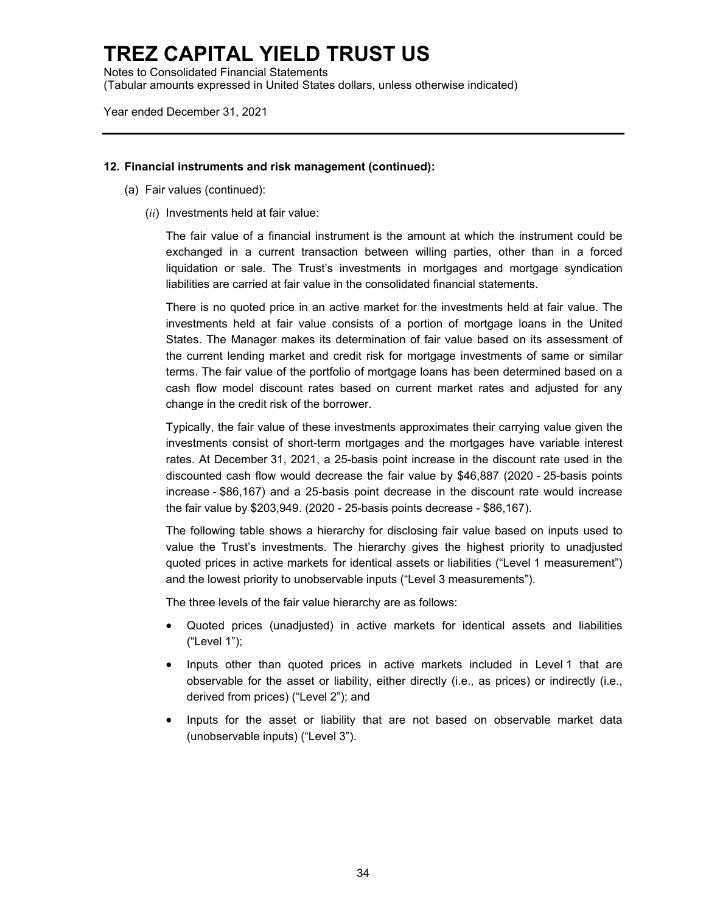Notes to Consolidated Financial Statements (Tabular amounts expressed in United States dollars, unless otherwise indicated)

Year ended December 31, 2021

#### **12. Financial instruments and risk management (continued):**

- (a) Fair values (continued):
	- (*ii*) Investments held at fair value:

The fair value of a financial instrument is the amount at which the instrument could be exchanged in a current transaction between willing parties, other than in a forced liquidation or sale. The Trust's investments in mortgages and mortgage syndication liabilities are carried at fair value in the consolidated financial statements.

There is no quoted price in an active market for the investments held at fair value. The investments held at fair value consists of a portion of mortgage loans in the United States. The Manager makes its determination of fair value based on its assessment of the current lending market and credit risk for mortgage investments of same or similar terms. The fair value of the portfolio of mortgage loans has been determined based on a cash flow model discount rates based on current market rates and adjusted for any change in the credit risk of the borrower.

Typically, the fair value of these investments approximates their carrying value given the investments consist of short-term mortgages and the mortgages have variable interest rates. At December 31, 2021, a 25-basis point increase in the discount rate used in the discounted cash flow would decrease the fair value by \$46,887 (2020 - 25-basis points increase - \$86,167) and a 25-basis point decrease in the discount rate would increase the fair value by \$203,949. (2020 - 25-basis points decrease - \$86,167).

The following table shows a hierarchy for disclosing fair value based on inputs used to value the Trust's investments. The hierarchy gives the highest priority to unadjusted quoted prices in active markets for identical assets or liabilities ("Level 1 measurement") and the lowest priority to unobservable inputs ("Level 3 measurements").

The three levels of the fair value hierarchy are as follows:

- Quoted prices (unadjusted) in active markets for identical assets and liabilities ("Level 1");
- Inputs other than quoted prices in active markets included in Level 1 that are observable for the asset or liability, either directly (i.e., as prices) or indirectly (i.e., derived from prices) ("Level 2"); and
- Inputs for the asset or liability that are not based on observable market data (unobservable inputs) ("Level 3").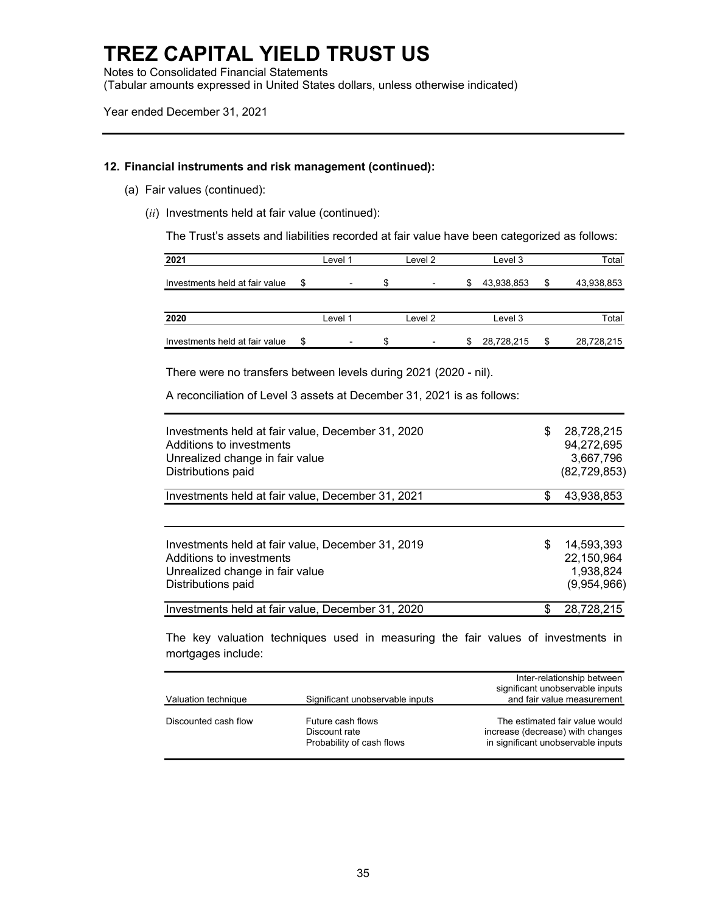Notes to Consolidated Financial Statements (Tabular amounts expressed in United States dollars, unless otherwise indicated)

Year ended December 31, 2021

#### **12. Financial instruments and risk management (continued):**

- (a) Fair values (continued):
	- (*ii*) Investments held at fair value (continued):

The Trust's assets and liabilities recorded at fair value have been categorized as follows:

| 2021                           | Level 1                        |    | Level 2                  |    | Level 3    | Total            |
|--------------------------------|--------------------------------|----|--------------------------|----|------------|------------------|
| Investments held at fair value | \$<br>۰                        | S. | $\overline{\phantom{a}}$ | S  | 43,938,853 | \$<br>43,938,853 |
| 2020                           | Level 1                        |    | Level 2                  |    | Level 3    | Total            |
| Investments held at fair value | \$<br>$\overline{\phantom{0}}$ | S. |                          | S. | 28,728,215 | \$<br>28,728,215 |

There were no transfers between levels during 2021 (2020 - nil).

A reconciliation of Level 3 assets at December 31, 2021 is as follows:

| Investments held at fair value, December 31, 2020<br>Additions to investments<br>Unrealized change in fair value<br>Distributions paid | S   | 28,728,215<br>94,272,695<br>3.667.796<br>(82, 729, 853) |
|----------------------------------------------------------------------------------------------------------------------------------------|-----|---------------------------------------------------------|
| Investments held at fair value, December 31, 2021                                                                                      | \$  | 43,938,853                                              |
| Investments held at fair value, December 31, 2019<br>Additions to investments<br>Unrealized change in fair value<br>Distributions paid | S   | 14.593.393<br>22,150,964<br>1.938.824<br>(9,954,966)    |
| Investments held at fair value, December 31, 2020                                                                                      | \$. | 28,728,215                                              |

The key valuation techniques used in measuring the fair values of investments in mortgages include:

|                      |                                                                 | Inter-relationship between<br>significant unobservable inputs                                            |
|----------------------|-----------------------------------------------------------------|----------------------------------------------------------------------------------------------------------|
| Valuation technique  | Significant unobservable inputs                                 | and fair value measurement                                                                               |
| Discounted cash flow | Future cash flows<br>Discount rate<br>Probability of cash flows | The estimated fair value would<br>increase (decrease) with changes<br>in significant unobservable inputs |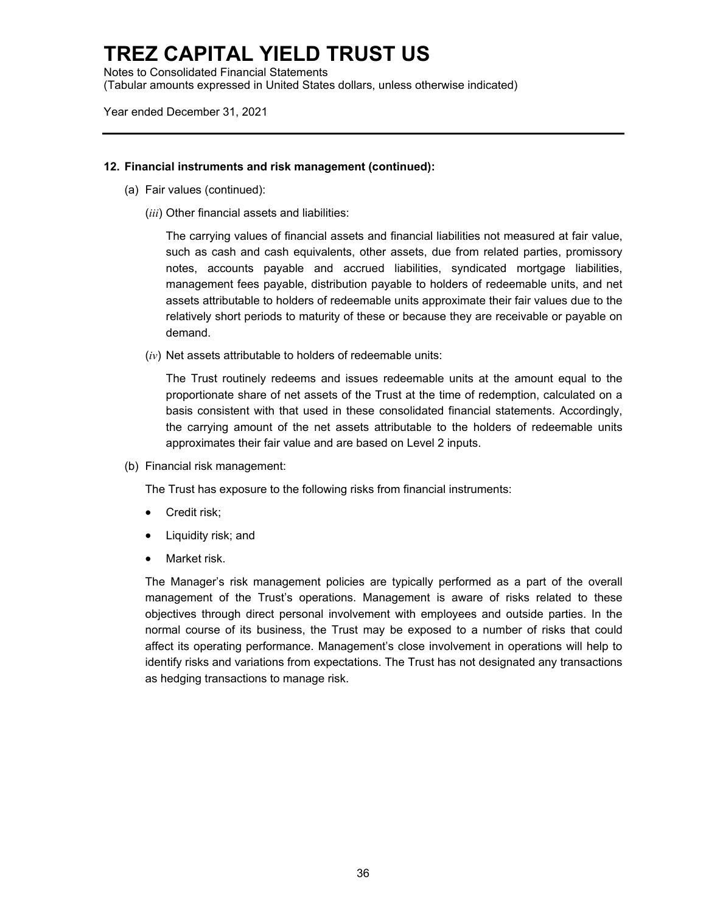Notes to Consolidated Financial Statements (Tabular amounts expressed in United States dollars, unless otherwise indicated)

Year ended December 31, 2021

#### **12. Financial instruments and risk management (continued):**

- (a) Fair values (continued):
	- (*iii*) Other financial assets and liabilities:

The carrying values of financial assets and financial liabilities not measured at fair value, such as cash and cash equivalents, other assets, due from related parties, promissory notes, accounts payable and accrued liabilities, syndicated mortgage liabilities, management fees payable, distribution payable to holders of redeemable units, and net assets attributable to holders of redeemable units approximate their fair values due to the relatively short periods to maturity of these or because they are receivable or payable on demand.

(*iv*) Net assets attributable to holders of redeemable units:

The Trust routinely redeems and issues redeemable units at the amount equal to the proportionate share of net assets of the Trust at the time of redemption, calculated on a basis consistent with that used in these consolidated financial statements. Accordingly, the carrying amount of the net assets attributable to the holders of redeemable units approximates their fair value and are based on Level 2 inputs.

(b) Financial risk management:

The Trust has exposure to the following risks from financial instruments:

- Credit risk;
- Liquidity risk; and
- Market risk.

The Manager's risk management policies are typically performed as a part of the overall management of the Trust's operations. Management is aware of risks related to these objectives through direct personal involvement with employees and outside parties. In the normal course of its business, the Trust may be exposed to a number of risks that could affect its operating performance. Management's close involvement in operations will help to identify risks and variations from expectations. The Trust has not designated any transactions as hedging transactions to manage risk.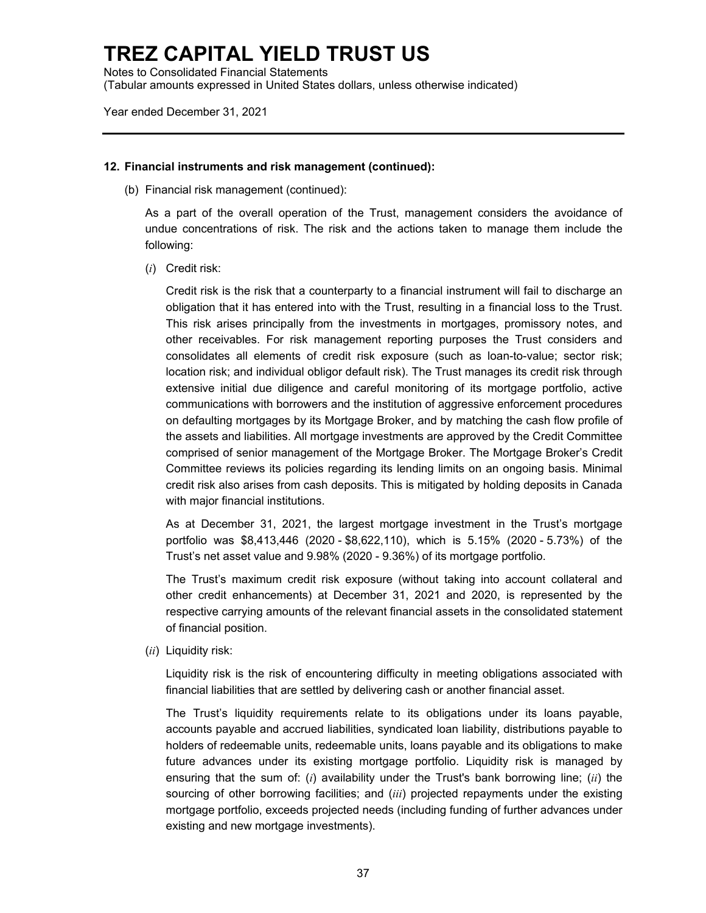Notes to Consolidated Financial Statements (Tabular amounts expressed in United States dollars, unless otherwise indicated)

Year ended December 31, 2021

#### **12. Financial instruments and risk management (continued):**

(b) Financial risk management (continued):

As a part of the overall operation of the Trust, management considers the avoidance of undue concentrations of risk. The risk and the actions taken to manage them include the following:

(*i*) Credit risk:

Credit risk is the risk that a counterparty to a financial instrument will fail to discharge an obligation that it has entered into with the Trust, resulting in a financial loss to the Trust. This risk arises principally from the investments in mortgages, promissory notes, and other receivables. For risk management reporting purposes the Trust considers and consolidates all elements of credit risk exposure (such as loan-to-value; sector risk; location risk; and individual obligor default risk). The Trust manages its credit risk through extensive initial due diligence and careful monitoring of its mortgage portfolio, active communications with borrowers and the institution of aggressive enforcement procedures on defaulting mortgages by its Mortgage Broker, and by matching the cash flow profile of the assets and liabilities. All mortgage investments are approved by the Credit Committee comprised of senior management of the Mortgage Broker. The Mortgage Broker's Credit Committee reviews its policies regarding its lending limits on an ongoing basis. Minimal credit risk also arises from cash deposits. This is mitigated by holding deposits in Canada with major financial institutions.

As at December 31, 2021, the largest mortgage investment in the Trust's mortgage portfolio was \$8,413,446 (2020 - \$8,622,110), which is 5.15% (2020 - 5.73%) of the Trust's net asset value and 9.98% (2020 - 9.36%) of its mortgage portfolio.

The Trust's maximum credit risk exposure (without taking into account collateral and other credit enhancements) at December 31, 2021 and 2020, is represented by the respective carrying amounts of the relevant financial assets in the consolidated statement of financial position.

(*ii*) Liquidity risk:

Liquidity risk is the risk of encountering difficulty in meeting obligations associated with financial liabilities that are settled by delivering cash or another financial asset.

The Trust's liquidity requirements relate to its obligations under its loans payable, accounts payable and accrued liabilities, syndicated loan liability, distributions payable to holders of redeemable units, redeemable units, loans payable and its obligations to make future advances under its existing mortgage portfolio. Liquidity risk is managed by ensuring that the sum of: (*i*) availability under the Trust's bank borrowing line; (*ii*) the sourcing of other borrowing facilities; and (*iii*) projected repayments under the existing mortgage portfolio, exceeds projected needs (including funding of further advances under existing and new mortgage investments).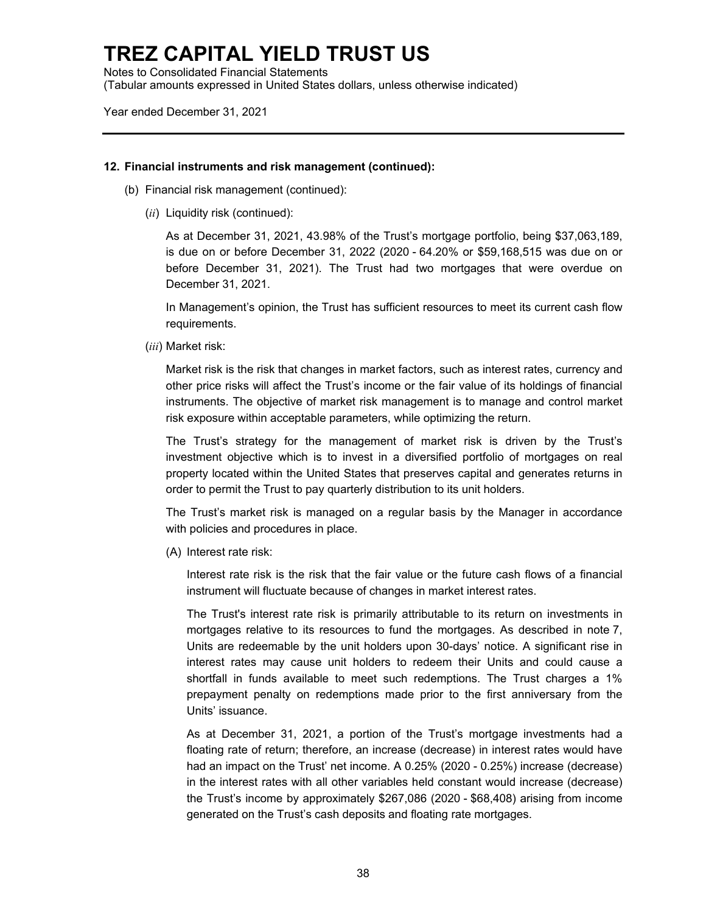Notes to Consolidated Financial Statements (Tabular amounts expressed in United States dollars, unless otherwise indicated)

Year ended December 31, 2021

#### **12. Financial instruments and risk management (continued):**

- (b) Financial risk management (continued):
	- (*ii*) Liquidity risk (continued):

As at December 31, 2021, 43.98% of the Trust's mortgage portfolio, being \$37,063,189, is due on or before December 31, 2022 (2020 - 64.20% or \$59,168,515 was due on or before December 31, 2021). The Trust had two mortgages that were overdue on December 31, 2021.

In Management's opinion, the Trust has sufficient resources to meet its current cash flow requirements.

(*iii*) Market risk:

Market risk is the risk that changes in market factors, such as interest rates, currency and other price risks will affect the Trust's income or the fair value of its holdings of financial instruments. The objective of market risk management is to manage and control market risk exposure within acceptable parameters, while optimizing the return.

The Trust's strategy for the management of market risk is driven by the Trust's investment objective which is to invest in a diversified portfolio of mortgages on real property located within the United States that preserves capital and generates returns in order to permit the Trust to pay quarterly distribution to its unit holders.

The Trust's market risk is managed on a regular basis by the Manager in accordance with policies and procedures in place.

(A) Interest rate risk:

Interest rate risk is the risk that the fair value or the future cash flows of a financial instrument will fluctuate because of changes in market interest rates.

The Trust's interest rate risk is primarily attributable to its return on investments in mortgages relative to its resources to fund the mortgages. As described in note 7, Units are redeemable by the unit holders upon 30-days' notice. A significant rise in interest rates may cause unit holders to redeem their Units and could cause a shortfall in funds available to meet such redemptions. The Trust charges a 1% prepayment penalty on redemptions made prior to the first anniversary from the Units' issuance.

As at December 31, 2021, a portion of the Trust's mortgage investments had a floating rate of return; therefore, an increase (decrease) in interest rates would have had an impact on the Trust' net income. A 0.25% (2020 - 0.25%) increase (decrease) in the interest rates with all other variables held constant would increase (decrease) the Trust's income by approximately \$267,086 (2020 - \$68,408) arising from income generated on the Trust's cash deposits and floating rate mortgages.